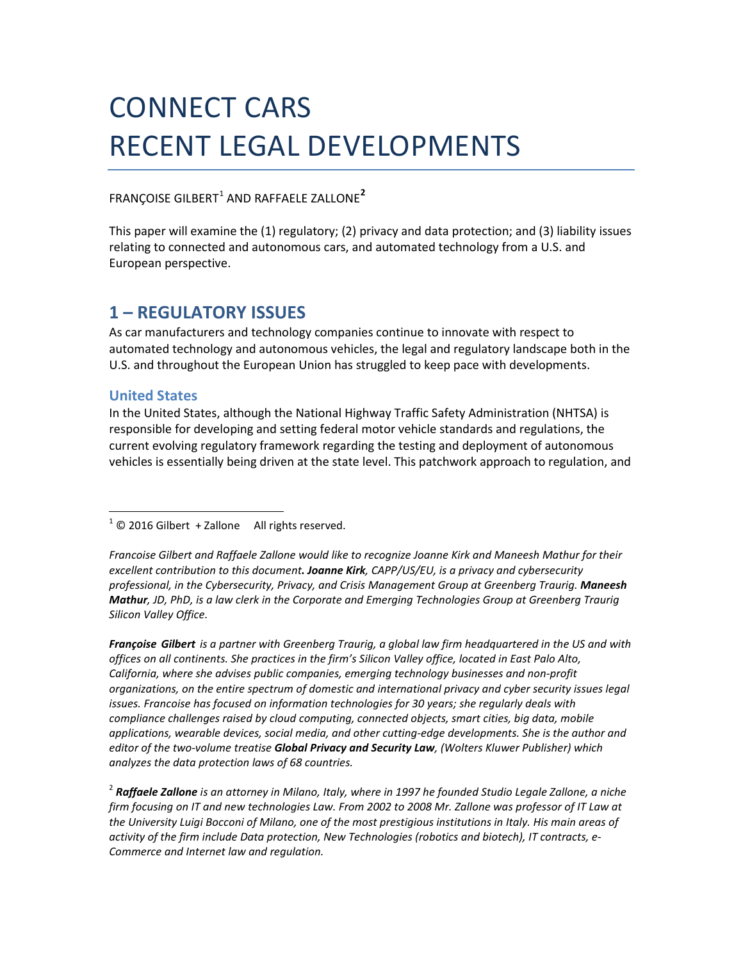# CONNECT CARS RECENT LEGAL DEVELOPMENTS

# FRANCOISE GILBERT<sup>1</sup> AND RAFFAELE ZALLONE<sup>2</sup>

This paper will examine the (1) regulatory; (2) privacy and data protection; and (3) liability issues relating to connected and autonomous cars, and automated technology from a U.S. and European perspective.

# **1 – REGULATORY ISSUES**

As car manufacturers and technology companies continue to innovate with respect to automated technology and autonomous vehicles, the legal and regulatory landscape both in the U.S. and throughout the European Union has struggled to keep pace with developments.

# **United States**

In the United States, although the National Highway Traffic Safety Administration (NHTSA) is responsible for developing and setting federal motor vehicle standards and regulations, the current evolving regulatory framework regarding the testing and deployment of autonomous vehicles is essentially being driven at the state level. This patchwork approach to regulation, and

 $1^1$   $\odot$  2016 Gilbert + Zallone All rights reserved.

*Francoise Gilbert and Raffaele Zallone would like to recognize Joanne Kirk and Maneesh Mathur for their excellent contribution to this document. Joanne Kirk, CAPP/US/EU, is a privacy and cybersecurity professional, in the Cybersecurity, Privacy, and Crisis Management Group at Greenberg Traurig. Maneesh Mathur, JD, PhD, is a law clerk in the Corporate and Emerging Technologies Group at Greenberg Traurig Silicon Valley Office.*

*Françoise Gilbert is a partner with Greenberg Traurig, a global law firm headquartered in the US and with offices on all continents. She practices in the firm's Silicon Valley office, located in East Palo Alto, California, where she advises public companies, emerging technology businesses and non-profit organizations, on the entire spectrum of domestic and international privacy and cyber security issues legal issues. Francoise has focused on information technologies for 30 years; she regularly deals with compliance challenges raised by cloud computing, connected objects, smart cities, big data, mobile applications, wearable devices, social media, and other cutting-edge developments. She is the author and editor of the two-volume treatise Global Privacy and Security Law, (Wolters Kluwer Publisher) which analyzes the data protection laws of 68 countries.*

<sup>2</sup> *Raffaele Zallone is an attorney in Milano, Italy, where in 1997 he founded Studio Legale Zallone, a niche firm focusing on IT and new technologies Law. From 2002 to 2008 Mr. Zallone was professor of IT Law at the University Luigi Bocconi of Milano, one of the most prestigious institutions in Italy. His main areas of activity of the firm include Data protection, New Technologies (robotics and biotech), IT contracts, e-Commerce and Internet law and regulation.*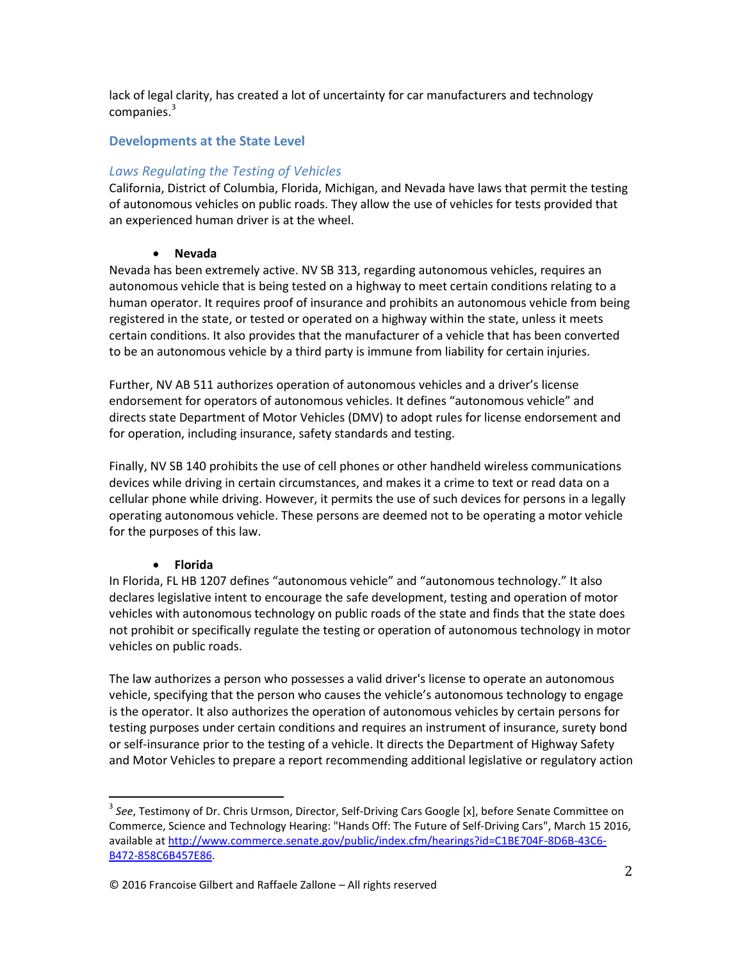lack of legal clarity, has created a lot of uncertainty for car manufacturers and technology companies. $3$ 

# **Developments at the State Level**

# *Laws Regulating the Testing of Vehicles*

California, District of Columbia, Florida, Michigan, and Nevada have laws that permit the testing of autonomous vehicles on public roads. They allow the use of vehicles for tests provided that an experienced human driver is at the wheel.

### • **Nevada**

Nevada has been extremely active. NV SB 313, regarding autonomous vehicles, requires an autonomous vehicle that is being tested on a highway to meet certain conditions relating to a human operator. It requires proof of insurance and prohibits an autonomous vehicle from being registered in the state, or tested or operated on a highway within the state, unless it meets certain conditions. It also provides that the manufacturer of a vehicle that has been converted to be an autonomous vehicle by a third party is immune from liability for certain injuries.

Further, NV AB 511 authorizes operation of autonomous vehicles and a driver's license endorsement for operators of autonomous vehicles. It defines "autonomous vehicle" and directs state Department of Motor Vehicles (DMV) to adopt rules for license endorsement and for operation, including insurance, safety standards and testing.

Finally, NV SB 140 prohibits the use of cell phones or other handheld wireless communications devices while driving in certain circumstances, and makes it a crime to text or read data on a cellular phone while driving. However, it permits the use of such devices for persons in a legally operating autonomous vehicle. These persons are deemed not to be operating a motor vehicle for the purposes of this law.

### • **Florida**

In Florida, FL HB 1207 defines "autonomous vehicle" and "autonomous technology." It also declares legislative intent to encourage the safe development, testing and operation of motor vehicles with autonomous technology on public roads of the state and finds that the state does not prohibit or specifically regulate the testing or operation of autonomous technology in motor vehicles on public roads.

The law authorizes a person who possesses a valid driver's license to operate an autonomous vehicle, specifying that the person who causes the vehicle's autonomous technology to engage is the operator. It also authorizes the operation of autonomous vehicles by certain persons for testing purposes under certain conditions and requires an instrument of insurance, surety bond or self-insurance prior to the testing of a vehicle. It directs the Department of Highway Safety and Motor Vehicles to prepare a report recommending additional legislative or regulatory action

<sup>3</sup> *See*, Testimony of Dr. Chris Urmson, Director, Self-Driving Cars Google [x], before Senate Committee on Commerce, Science and Technology Hearing: "Hands Off: The Future of Self-Driving Cars", March 15 2016, available at http://www.commerce.senate.gov/public/index.cfm/hearings?id=C1BE704F-8D6B-43C6- B472-858C6B457E86.

<sup>© 2016</sup> Francoise Gilbert and Raffaele Zallone – All rights reserved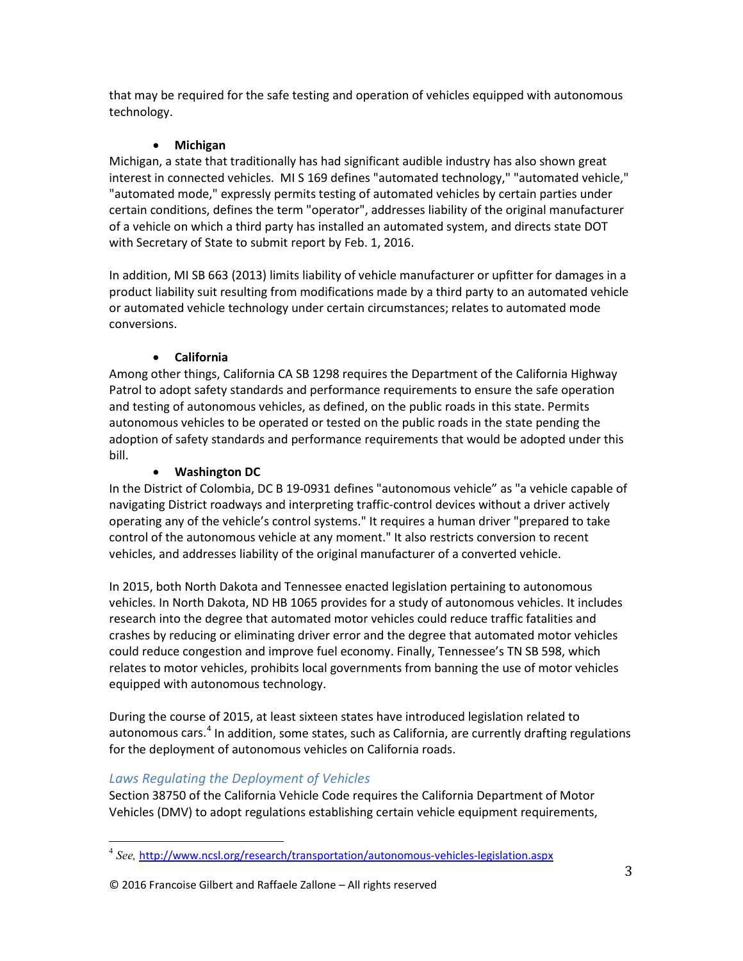that may be required for the safe testing and operation of vehicles equipped with autonomous technology.

# • **Michigan**

Michigan, a state that traditionally has had significant audible industry has also shown great interest in connected vehicles. MI S 169 defines "automated technology," "automated vehicle," "automated mode," expressly permits testing of automated vehicles by certain parties under certain conditions, defines the term "operator", addresses liability of the original manufacturer of a vehicle on which a third party has installed an automated system, and directs state DOT with Secretary of State to submit report by Feb. 1, 2016.

In addition, MI SB 663 (2013) limits liability of vehicle manufacturer or upfitter for damages in a product liability suit resulting from modifications made by a third party to an automated vehicle or automated vehicle technology under certain circumstances; relates to automated mode conversions.

# • **California**

Among other things, California CA SB 1298 requires the Department of the California Highway Patrol to adopt safety standards and performance requirements to ensure the safe operation and testing of autonomous vehicles, as defined, on the public roads in this state. Permits autonomous vehicles to be operated or tested on the public roads in the state pending the adoption of safety standards and performance requirements that would be adopted under this bill.

# • **Washington DC**

In the District of Colombia, DC B 19-0931 defines "autonomous vehicle" as "a vehicle capable of navigating District roadways and interpreting traffic-control devices without a driver actively operating any of the vehicle's control systems." It requires a human driver "prepared to take control of the autonomous vehicle at any moment." It also restricts conversion to recent vehicles, and addresses liability of the original manufacturer of a converted vehicle.

In 2015, both North Dakota and Tennessee enacted legislation pertaining to autonomous vehicles. In North Dakota, ND HB 1065 provides for a study of autonomous vehicles. It includes research into the degree that automated motor vehicles could reduce traffic fatalities and crashes by reducing or eliminating driver error and the degree that automated motor vehicles could reduce congestion and improve fuel economy. Finally, Tennessee's TN SB 598, which relates to motor vehicles, prohibits local governments from banning the use of motor vehicles equipped with autonomous technology.

During the course of 2015, at least sixteen states have introduced legislation related to autonomous cars.<sup>4</sup> In addition, some states, such as California, are currently drafting regulations for the deployment of autonomous vehicles on California roads.

# *Laws Regulating the Deployment of Vehicles*

Section 38750 of the California Vehicle Code requires the California Department of Motor Vehicles (DMV) to adopt regulations establishing certain vehicle equipment requirements,

<sup>4</sup> *See,* http://www.ncsl.org/research/transportation/autonomous-vehicles-legislation.aspx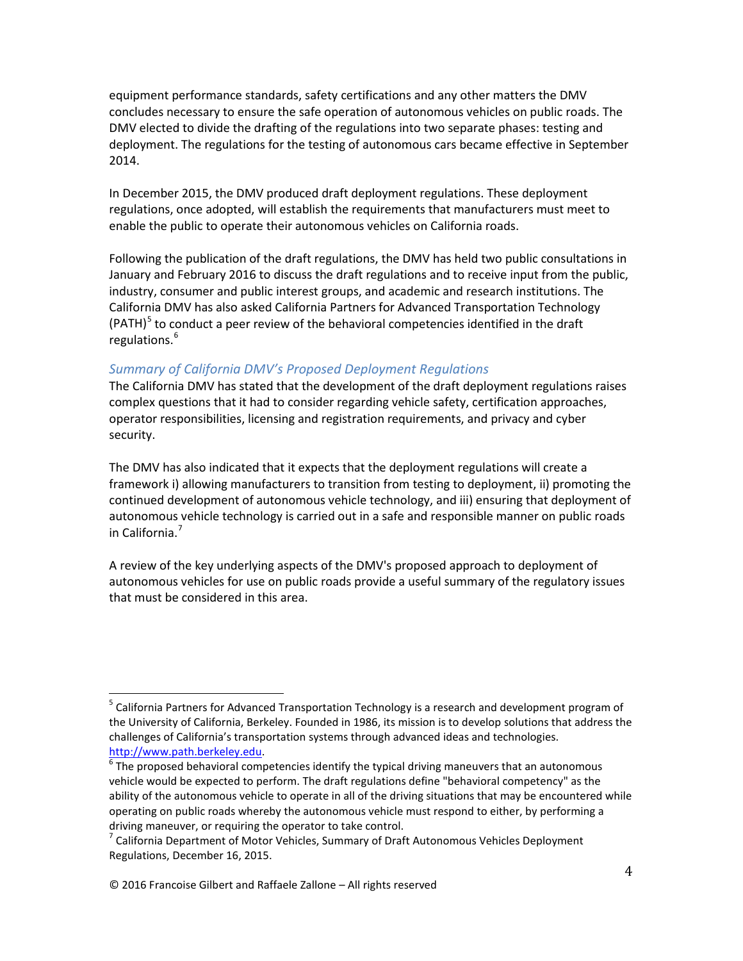equipment performance standards, safety certifications and any other matters the DMV concludes necessary to ensure the safe operation of autonomous vehicles on public roads. The DMV elected to divide the drafting of the regulations into two separate phases: testing and deployment. The regulations for the testing of autonomous cars became effective in September 2014.

In December 2015, the DMV produced draft deployment regulations. These deployment regulations, once adopted, will establish the requirements that manufacturers must meet to enable the public to operate their autonomous vehicles on California roads.

Following the publication of the draft regulations, the DMV has held two public consultations in January and February 2016 to discuss the draft regulations and to receive input from the public, industry, consumer and public interest groups, and academic and research institutions. The California DMV has also asked California Partners for Advanced Transportation Technology (PATH) $^5$  to conduct a peer review of the behavioral competencies identified in the draft regulations.<sup>6</sup>

### *Summary of California DMV's Proposed Deployment Regulations*

The California DMV has stated that the development of the draft deployment regulations raises complex questions that it had to consider regarding vehicle safety, certification approaches, operator responsibilities, licensing and registration requirements, and privacy and cyber security.

The DMV has also indicated that it expects that the deployment regulations will create a framework i) allowing manufacturers to transition from testing to deployment, ii) promoting the continued development of autonomous vehicle technology, and iii) ensuring that deployment of autonomous vehicle technology is carried out in a safe and responsible manner on public roads in California.<sup>7</sup>

A review of the key underlying aspects of the DMV's proposed approach to deployment of autonomous vehicles for use on public roads provide a useful summary of the regulatory issues that must be considered in this area.

<sup>&</sup>lt;sup>5</sup> California Partners for Advanced Transportation Technology is a research and development program of the University of California, Berkeley. Founded in 1986, its mission is to develop solutions that address the challenges of California's transportation systems through advanced ideas and technologies. http://www.path.berkeley.edu.<br><sup>6</sup> The proposed behavioral competencies identify the typical driving maneuvers that an autonomous

vehicle would be expected to perform. The draft regulations define "behavioral competency" as the ability of the autonomous vehicle to operate in all of the driving situations that may be encountered while operating on public roads whereby the autonomous vehicle must respond to either, by performing a driving maneuver, or requiring the operator to take control.

 $7$  California Department of Motor Vehicles, Summary of Draft Autonomous Vehicles Deployment Regulations, December 16, 2015.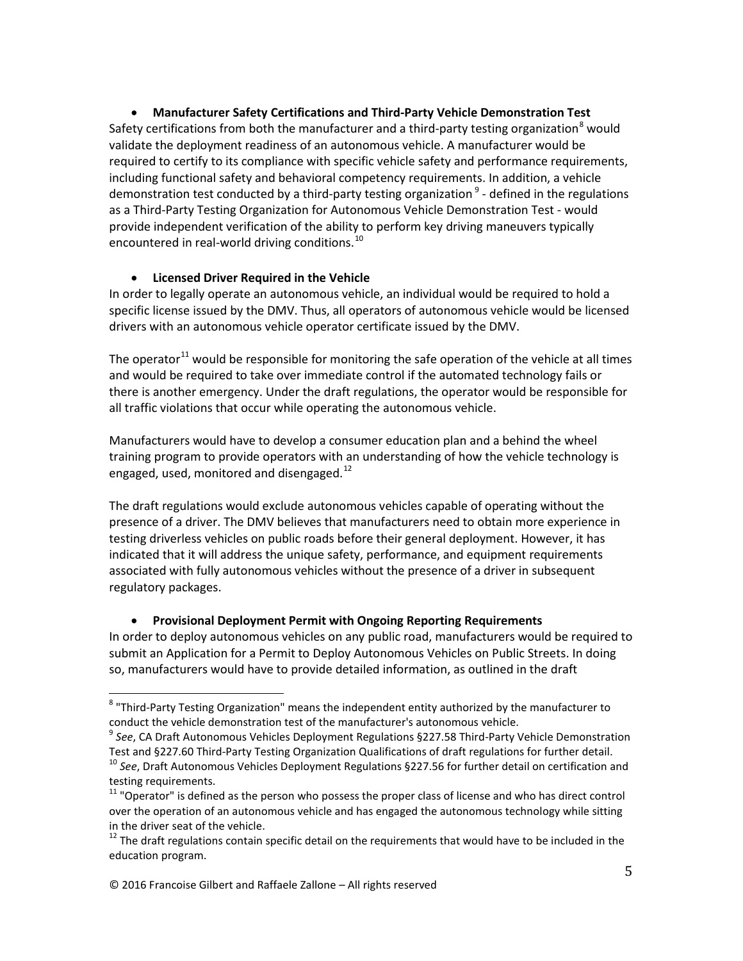• **Manufacturer Safety Certifications and Third-Party Vehicle Demonstration Test** Safety certifications from both the manufacturer and a third-party testing organization<sup>8</sup> would validate the deployment readiness of an autonomous vehicle. A manufacturer would be required to certify to its compliance with specific vehicle safety and performance requirements, including functional safety and behavioral competency requirements. In addition, a vehicle demonstration test conducted by a third-party testing organization  $9$  - defined in the regulations as a Third-Party Testing Organization for Autonomous Vehicle Demonstration Test - would provide independent verification of the ability to perform key driving maneuvers typically encountered in real-world driving conditions.<sup>10</sup>

### • **Licensed Driver Required in the Vehicle**

In order to legally operate an autonomous vehicle, an individual would be required to hold a specific license issued by the DMV. Thus, all operators of autonomous vehicle would be licensed drivers with an autonomous vehicle operator certificate issued by the DMV.

The operator<sup>11</sup> would be responsible for monitoring the safe operation of the vehicle at all times and would be required to take over immediate control if the automated technology fails or there is another emergency. Under the draft regulations, the operator would be responsible for all traffic violations that occur while operating the autonomous vehicle.

Manufacturers would have to develop a consumer education plan and a behind the wheel training program to provide operators with an understanding of how the vehicle technology is engaged, used, monitored and disengaged.<sup>12</sup>

The draft regulations would exclude autonomous vehicles capable of operating without the presence of a driver. The DMV believes that manufacturers need to obtain more experience in testing driverless vehicles on public roads before their general deployment. However, it has indicated that it will address the unique safety, performance, and equipment requirements associated with fully autonomous vehicles without the presence of a driver in subsequent regulatory packages.

### • **Provisional Deployment Permit with Ongoing Reporting Requirements**

In order to deploy autonomous vehicles on any public road, manufacturers would be required to submit an Application for a Permit to Deploy Autonomous Vehicles on Public Streets. In doing so, manufacturers would have to provide detailed information, as outlined in the draft

<sup>8</sup> "Third-Party Testing Organization" means the independent entity authorized by the manufacturer to

conduct the vehicle demonstration test of the manufacturer's autonomous vehicle.<br><sup>9</sup> *See*, CA Draft Autonomous Vehicles Deployment Regulations §227.58 Third-Party Vehicle Demonstration<br>Test and §227.60 Third-Party Testing

<sup>&</sup>lt;sup>10</sup> See, Draft Autonomous Vehicles Deployment Regulations §227.56 for further detail on certification and testing requirements.

<sup>&</sup>lt;sup>11</sup> "Operator" is defined as the person who possess the proper class of license and who has direct control over the operation of an autonomous vehicle and has engaged the autonomous technology while sitting in the driver seat of the vehicle.

 $12$  The draft regulations contain specific detail on the requirements that would have to be included in the education program.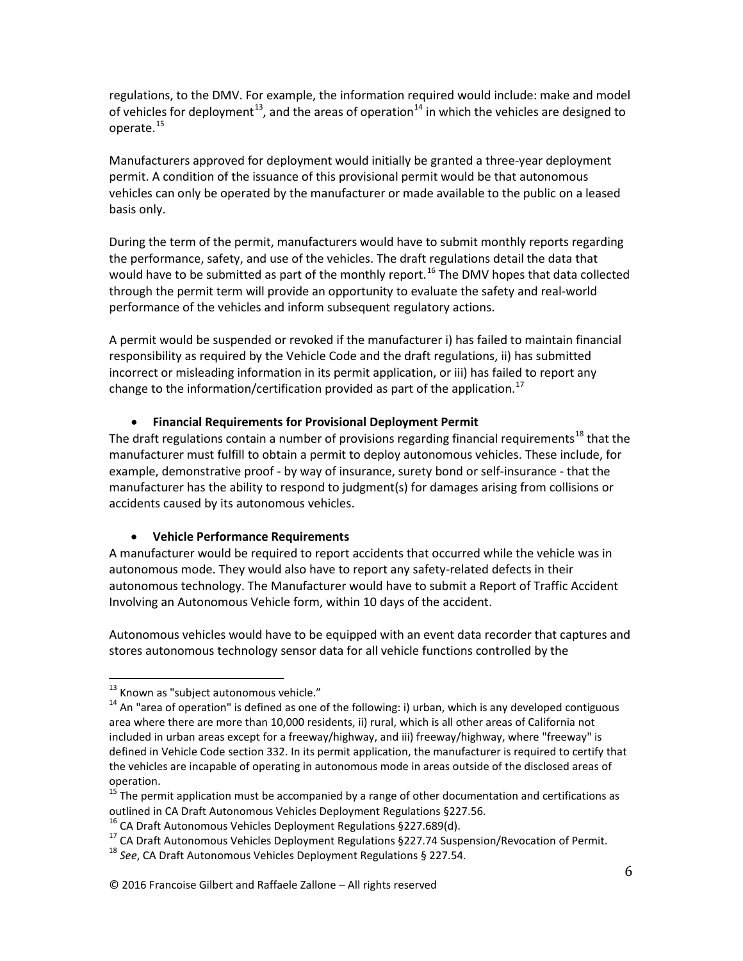regulations, to the DMV. For example, the information required would include: make and model of vehicles for deployment<sup>13</sup>, and the areas of operation<sup>14</sup> in which the vehicles are designed to operate.<sup>15</sup>

Manufacturers approved for deployment would initially be granted a three-year deployment permit. A condition of the issuance of this provisional permit would be that autonomous vehicles can only be operated by the manufacturer or made available to the public on a leased basis only.

During the term of the permit, manufacturers would have to submit monthly reports regarding the performance, safety, and use of the vehicles. The draft regulations detail the data that would have to be submitted as part of the monthly report.<sup>16</sup> The DMV hopes that data collected through the permit term will provide an opportunity to evaluate the safety and real-world performance of the vehicles and inform subsequent regulatory actions.

A permit would be suspended or revoked if the manufacturer i) has failed to maintain financial responsibility as required by the Vehicle Code and the draft regulations, ii) has submitted incorrect or misleading information in its permit application, or iii) has failed to report any change to the information/certification provided as part of the application.<sup>17</sup>

### • **Financial Requirements for Provisional Deployment Permit**

The draft regulations contain a number of provisions regarding financial requirements<sup>18</sup> that the manufacturer must fulfill to obtain a permit to deploy autonomous vehicles. These include, for example, demonstrative proof - by way of insurance, surety bond or self-insurance - that the manufacturer has the ability to respond to judgment(s) for damages arising from collisions or accidents caused by its autonomous vehicles.

# • **Vehicle Performance Requirements**

A manufacturer would be required to report accidents that occurred while the vehicle was in autonomous mode. They would also have to report any safety-related defects in their autonomous technology. The Manufacturer would have to submit a Report of Traffic Accident Involving an Autonomous Vehicle form, within 10 days of the accident.

Autonomous vehicles would have to be equipped with an event data recorder that captures and stores autonomous technology sensor data for all vehicle functions controlled by the

<sup>&</sup>lt;sup>13</sup> Known as "subject autonomous vehicle."<br><sup>14</sup> An "area of operation" is defined as one of the following: i) urban, which is any developed contiguous area where there are more than 10,000 residents, ii) rural, which is all other areas of California not included in urban areas except for a freeway/highway, and iii) freeway/highway, where "freeway" is defined in Vehicle Code section 332. In its permit application, the manufacturer is required to certify that the vehicles are incapable of operating in autonomous mode in areas outside of the disclosed areas of operation.

<sup>&</sup>lt;sup>15</sup> The permit application must be accompanied by a range of other documentation and certifications as

outlined in CA Draft Autonomous Vehicles Deployment Regulations §227.56.<br><sup>16</sup> CA Draft Autonomous Vehicles Deployment Regulations §227.689(d).<br><sup>17</sup> CA Draft Autonomous Vehicles Deployment Regulations §227.74 Suspension/Rev

<sup>© 2016</sup> Francoise Gilbert and Raffaele Zallone – All rights reserved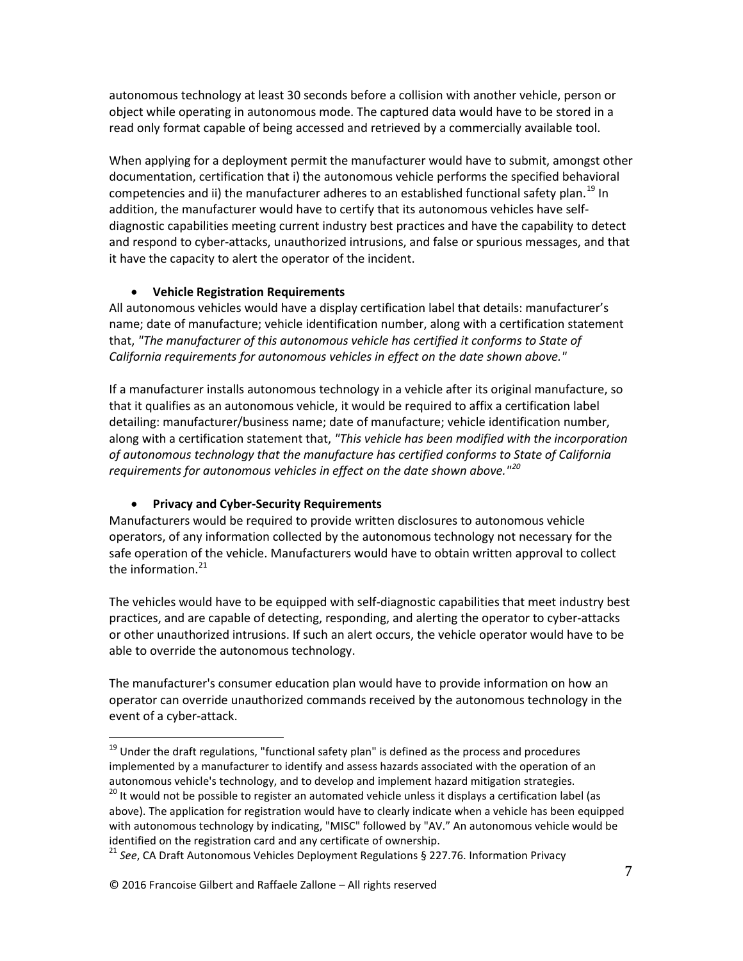autonomous technology at least 30 seconds before a collision with another vehicle, person or object while operating in autonomous mode. The captured data would have to be stored in a read only format capable of being accessed and retrieved by a commercially available tool.

When applying for a deployment permit the manufacturer would have to submit, amongst other documentation, certification that i) the autonomous vehicle performs the specified behavioral competencies and ii) the manufacturer adheres to an established functional safety plan.<sup>19</sup> In addition, the manufacturer would have to certify that its autonomous vehicles have selfdiagnostic capabilities meeting current industry best practices and have the capability to detect and respond to cyber-attacks, unauthorized intrusions, and false or spurious messages, and that it have the capacity to alert the operator of the incident.

# • **Vehicle Registration Requirements**

All autonomous vehicles would have a display certification label that details: manufacturer's name; date of manufacture; vehicle identification number, along with a certification statement that, *"The manufacturer of this autonomous vehicle has certified it conforms to State of California requirements for autonomous vehicles in effect on the date shown above."*

If a manufacturer installs autonomous technology in a vehicle after its original manufacture, so that it qualifies as an autonomous vehicle, it would be required to affix a certification label detailing: manufacturer/business name; date of manufacture; vehicle identification number, along with a certification statement that, *"This vehicle has been modified with the incorporation of autonomous technology that the manufacture has certified conforms to State of California requirements for autonomous vehicles in effect on the date shown above."<sup>20</sup>*

# • **Privacy and Cyber-Security Requirements**

Manufacturers would be required to provide written disclosures to autonomous vehicle operators, of any information collected by the autonomous technology not necessary for the safe operation of the vehicle. Manufacturers would have to obtain written approval to collect the information. $21$ 

The vehicles would have to be equipped with self-diagnostic capabilities that meet industry best practices, and are capable of detecting, responding, and alerting the operator to cyber-attacks or other unauthorized intrusions. If such an alert occurs, the vehicle operator would have to be able to override the autonomous technology.

The manufacturer's consumer education plan would have to provide information on how an operator can override unauthorized commands received by the autonomous technology in the event of a cyber-attack.

 $19$  Under the draft regulations, "functional safety plan" is defined as the process and procedures implemented by a manufacturer to identify and assess hazards associated with the operation of an autonomous vehicle's technology, and to develop and implement hazard mitigation strategies.

<sup>&</sup>lt;sup>20</sup> It would not be possible to register an automated vehicle unless it displays a certification label (as above). The application for registration would have to clearly indicate when a vehicle has been equipped with autonomous technology by indicating, "MISC" followed by "AV." An autonomous vehicle would be identified on the registration card and any certificate of ownership.<br><sup>21</sup> See, CA Draft Autonomous Vehicles Deployment Regulations § 227.76. Information Privacy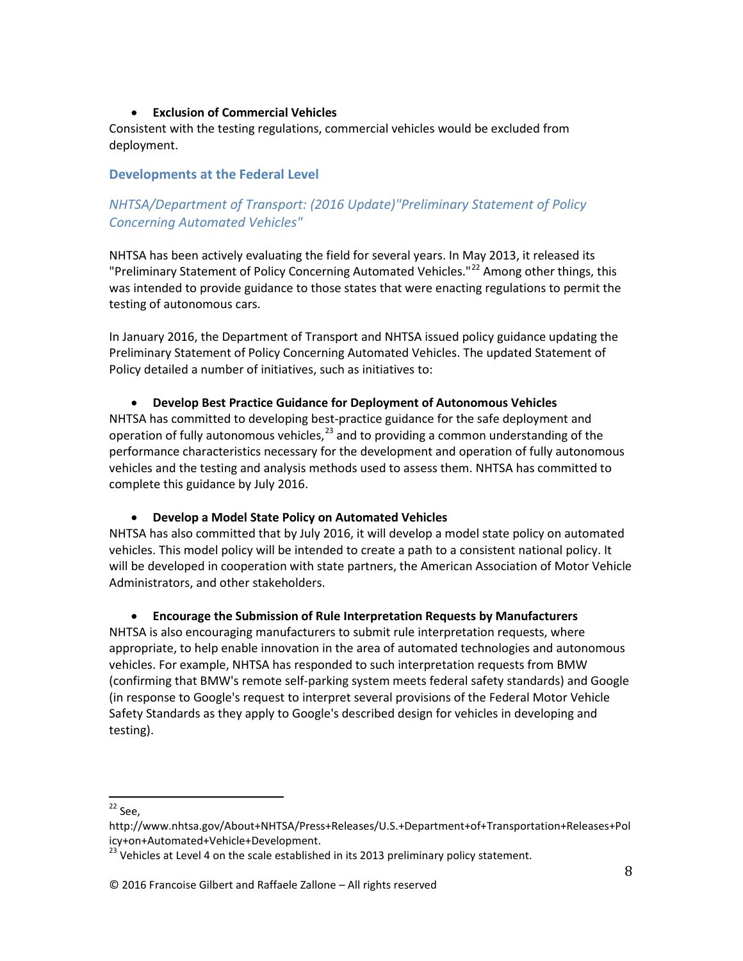### • **Exclusion of Commercial Vehicles**

Consistent with the testing regulations, commercial vehicles would be excluded from deployment.

### **Developments at the Federal Level**

# *NHTSA/Department of Transport: (2016 Update)"Preliminary Statement of Policy Concerning Automated Vehicles"*

NHTSA has been actively evaluating the field for several years. In May 2013, it released its "Preliminary Statement of Policy Concerning Automated Vehicles."<sup>22</sup> Among other things, this was intended to provide guidance to those states that were enacting regulations to permit the testing of autonomous cars.

In January 2016, the Department of Transport and NHTSA issued policy guidance updating the Preliminary Statement of Policy Concerning Automated Vehicles. The updated Statement of Policy detailed a number of initiatives, such as initiatives to:

### • **Develop Best Practice Guidance for Deployment of Autonomous Vehicles**

NHTSA has committed to developing best-practice guidance for the safe deployment and operation of fully autonomous vehicles,  $^{23}$  and to providing a common understanding of the performance characteristics necessary for the development and operation of fully autonomous vehicles and the testing and analysis methods used to assess them. NHTSA has committed to complete this guidance by July 2016.

### • **Develop a Model State Policy on Automated Vehicles**

NHTSA has also committed that by July 2016, it will develop a model state policy on automated vehicles. This model policy will be intended to create a path to a consistent national policy. It will be developed in cooperation with state partners, the American Association of Motor Vehicle Administrators, and other stakeholders.

### • **Encourage the Submission of Rule Interpretation Requests by Manufacturers**

NHTSA is also encouraging manufacturers to submit rule interpretation requests, where appropriate, to help enable innovation in the area of automated technologies and autonomous vehicles. For example, NHTSA has responded to such interpretation requests from BMW (confirming that BMW's remote self-parking system meets federal safety standards) and Google (in response to Google's request to interpret several provisions of the Federal Motor Vehicle Safety Standards as they apply to Google's described design for vehicles in developing and testing).

#### © 2016 Francoise Gilbert and Raffaele Zallone – All rights reserved

 $22$  See,

http://www.nhtsa.gov/About+NHTSA/Press+Releases/U.S.+Department+of+Transportation+Releases+Pol icy+on+Automated+Vehicle+Development.<br><sup>23</sup> Vehicles at Level 4 on the scale established in its 2013 preliminary policy statement.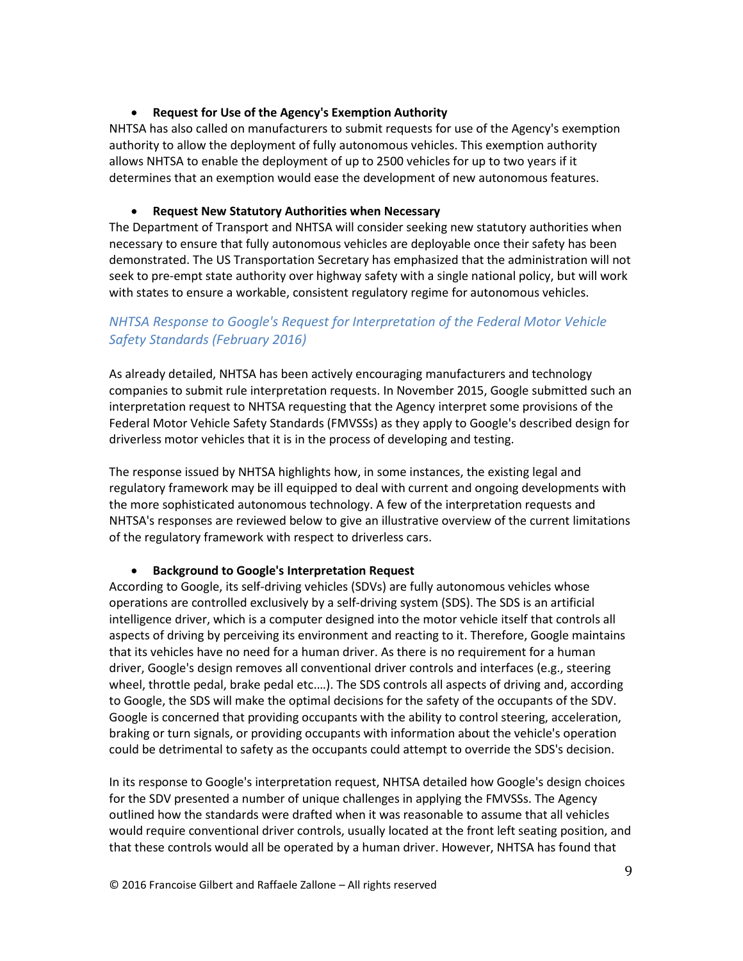### • **Request for Use of the Agency's Exemption Authority**

NHTSA has also called on manufacturers to submit requests for use of the Agency's exemption authority to allow the deployment of fully autonomous vehicles. This exemption authority allows NHTSA to enable the deployment of up to 2500 vehicles for up to two years if it determines that an exemption would ease the development of new autonomous features.

### • **Request New Statutory Authorities when Necessary**

The Department of Transport and NHTSA will consider seeking new statutory authorities when necessary to ensure that fully autonomous vehicles are deployable once their safety has been demonstrated. The US Transportation Secretary has emphasized that the administration will not seek to pre-empt state authority over highway safety with a single national policy, but will work with states to ensure a workable, consistent regulatory regime for autonomous vehicles.

# *NHTSA Response to Google's Request for Interpretation of the Federal Motor Vehicle Safety Standards (February 2016)*

As already detailed, NHTSA has been actively encouraging manufacturers and technology companies to submit rule interpretation requests. In November 2015, Google submitted such an interpretation request to NHTSA requesting that the Agency interpret some provisions of the Federal Motor Vehicle Safety Standards (FMVSSs) as they apply to Google's described design for driverless motor vehicles that it is in the process of developing and testing.

The response issued by NHTSA highlights how, in some instances, the existing legal and regulatory framework may be ill equipped to deal with current and ongoing developments with the more sophisticated autonomous technology. A few of the interpretation requests and NHTSA's responses are reviewed below to give an illustrative overview of the current limitations of the regulatory framework with respect to driverless cars.

### • **Background to Google's Interpretation Request**

According to Google, its self-driving vehicles (SDVs) are fully autonomous vehicles whose operations are controlled exclusively by a self-driving system (SDS). The SDS is an artificial intelligence driver, which is a computer designed into the motor vehicle itself that controls all aspects of driving by perceiving its environment and reacting to it. Therefore, Google maintains that its vehicles have no need for a human driver. As there is no requirement for a human driver, Google's design removes all conventional driver controls and interfaces (e.g., steering wheel, throttle pedal, brake pedal etc.…). The SDS controls all aspects of driving and, according to Google, the SDS will make the optimal decisions for the safety of the occupants of the SDV. Google is concerned that providing occupants with the ability to control steering, acceleration, braking or turn signals, or providing occupants with information about the vehicle's operation could be detrimental to safety as the occupants could attempt to override the SDS's decision.

In its response to Google's interpretation request, NHTSA detailed how Google's design choices for the SDV presented a number of unique challenges in applying the FMVSSs. The Agency outlined how the standards were drafted when it was reasonable to assume that all vehicles would require conventional driver controls, usually located at the front left seating position, and that these controls would all be operated by a human driver. However, NHTSA has found that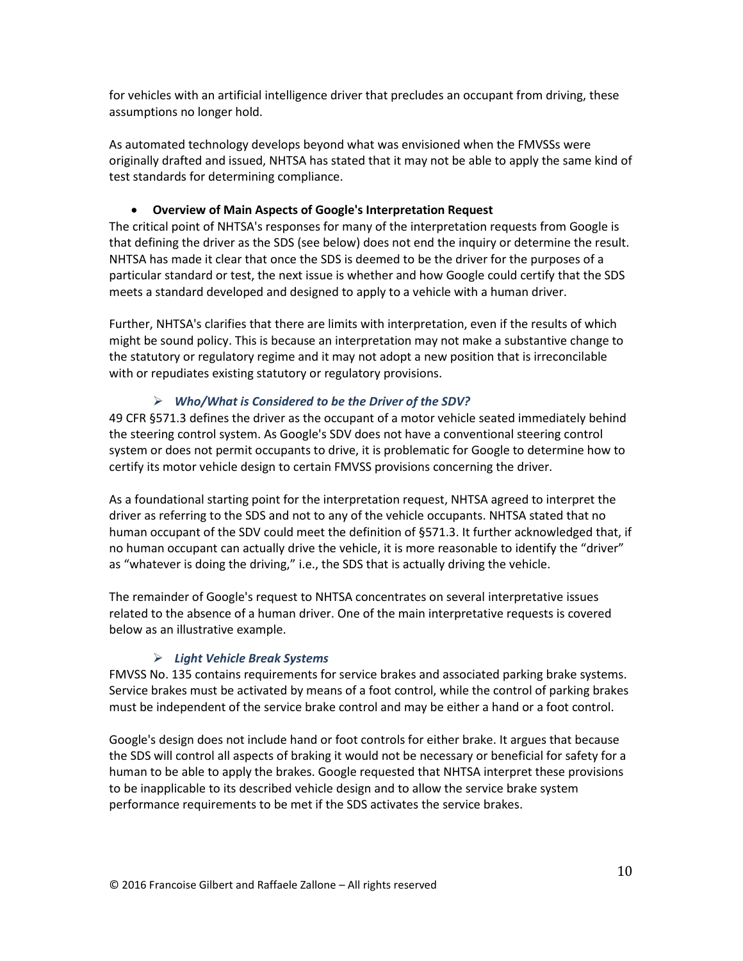for vehicles with an artificial intelligence driver that precludes an occupant from driving, these assumptions no longer hold.

As automated technology develops beyond what was envisioned when the FMVSSs were originally drafted and issued, NHTSA has stated that it may not be able to apply the same kind of test standards for determining compliance.

# • **Overview of Main Aspects of Google's Interpretation Request**

The critical point of NHTSA's responses for many of the interpretation requests from Google is that defining the driver as the SDS (see below) does not end the inquiry or determine the result. NHTSA has made it clear that once the SDS is deemed to be the driver for the purposes of a particular standard or test, the next issue is whether and how Google could certify that the SDS meets a standard developed and designed to apply to a vehicle with a human driver.

Further, NHTSA's clarifies that there are limits with interpretation, even if the results of which might be sound policy. This is because an interpretation may not make a substantive change to the statutory or regulatory regime and it may not adopt a new position that is irreconcilable with or repudiates existing statutory or regulatory provisions.

# *Who/What is Considered to be the Driver of the SDV?*

49 CFR §571.3 defines the driver as the occupant of a motor vehicle seated immediately behind the steering control system. As Google's SDV does not have a conventional steering control system or does not permit occupants to drive, it is problematic for Google to determine how to certify its motor vehicle design to certain FMVSS provisions concerning the driver.

As a foundational starting point for the interpretation request, NHTSA agreed to interpret the driver as referring to the SDS and not to any of the vehicle occupants. NHTSA stated that no human occupant of the SDV could meet the definition of §571.3. It further acknowledged that, if no human occupant can actually drive the vehicle, it is more reasonable to identify the "driver" as "whatever is doing the driving," i.e., the SDS that is actually driving the vehicle.

The remainder of Google's request to NHTSA concentrates on several interpretative issues related to the absence of a human driver. One of the main interpretative requests is covered below as an illustrative example.

# *Light Vehicle Break Systems*

FMVSS No. 135 contains requirements for service brakes and associated parking brake systems. Service brakes must be activated by means of a foot control, while the control of parking brakes must be independent of the service brake control and may be either a hand or a foot control.

Google's design does not include hand or foot controls for either brake. It argues that because the SDS will control all aspects of braking it would not be necessary or beneficial for safety for a human to be able to apply the brakes. Google requested that NHTSA interpret these provisions to be inapplicable to its described vehicle design and to allow the service brake system performance requirements to be met if the SDS activates the service brakes.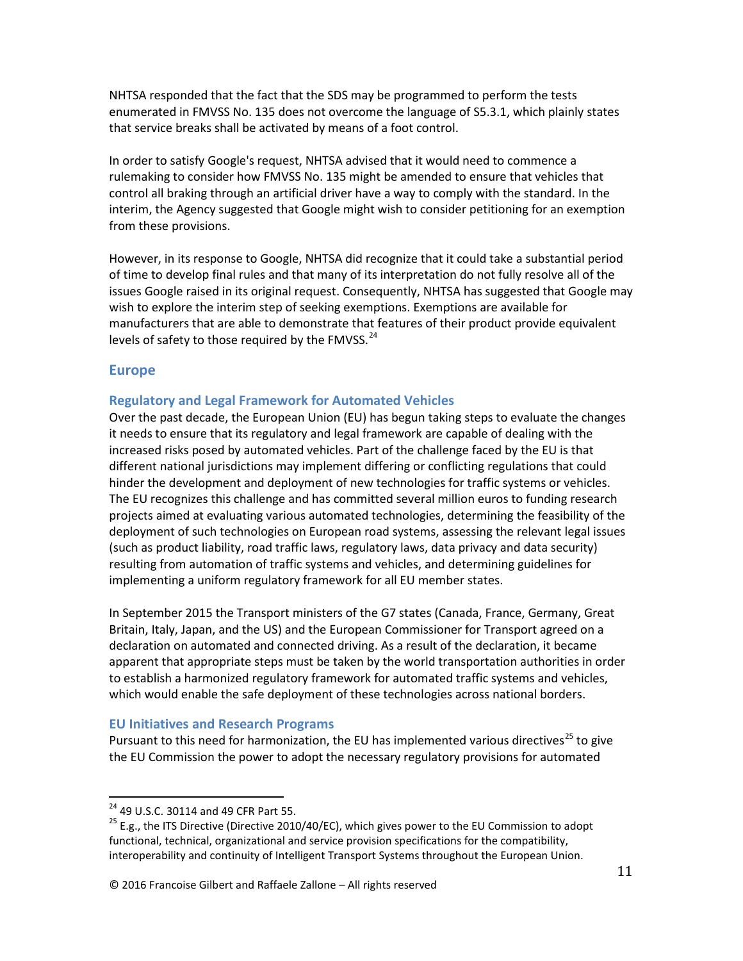NHTSA responded that the fact that the SDS may be programmed to perform the tests enumerated in FMVSS No. 135 does not overcome the language of S5.3.1, which plainly states that service breaks shall be activated by means of a foot control.

In order to satisfy Google's request, NHTSA advised that it would need to commence a rulemaking to consider how FMVSS No. 135 might be amended to ensure that vehicles that control all braking through an artificial driver have a way to comply with the standard. In the interim, the Agency suggested that Google might wish to consider petitioning for an exemption from these provisions.

However, in its response to Google, NHTSA did recognize that it could take a substantial period of time to develop final rules and that many of its interpretation do not fully resolve all of the issues Google raised in its original request. Consequently, NHTSA has suggested that Google may wish to explore the interim step of seeking exemptions. Exemptions are available for manufacturers that are able to demonstrate that features of their product provide equivalent levels of safety to those required by the FMVSS. $^{24}$ 

### **Europe**

### **Regulatory and Legal Framework for Automated Vehicles**

Over the past decade, the European Union (EU) has begun taking steps to evaluate the changes it needs to ensure that its regulatory and legal framework are capable of dealing with the increased risks posed by automated vehicles. Part of the challenge faced by the EU is that different national jurisdictions may implement differing or conflicting regulations that could hinder the development and deployment of new technologies for traffic systems or vehicles. The EU recognizes this challenge and has committed several million euros to funding research projects aimed at evaluating various automated technologies, determining the feasibility of the deployment of such technologies on European road systems, assessing the relevant legal issues (such as product liability, road traffic laws, regulatory laws, data privacy and data security) resulting from automation of traffic systems and vehicles, and determining guidelines for implementing a uniform regulatory framework for all EU member states.

In September 2015 the Transport ministers of the G7 states (Canada, France, Germany, Great Britain, Italy, Japan, and the US) and the European Commissioner for Transport agreed on a declaration on automated and connected driving. As a result of the declaration, it became apparent that appropriate steps must be taken by the world transportation authorities in order to establish a harmonized regulatory framework for automated traffic systems and vehicles, which would enable the safe deployment of these technologies across national borders.

### **EU Initiatives and Research Programs**

Pursuant to this need for harmonization, the EU has implemented various directives<sup>25</sup> to give the EU Commission the power to adopt the necessary regulatory provisions for automated

<sup>&</sup>lt;sup>24</sup> 49 U.S.C. 30114 and 49 CFR Part 55.<br><sup>25</sup> E.g., the ITS Directive (Directive 2010/40/EC), which gives power to the EU Commission to adopt functional, technical, organizational and service provision specifications for the compatibility, interoperability and continuity of Intelligent Transport Systems throughout the European Union.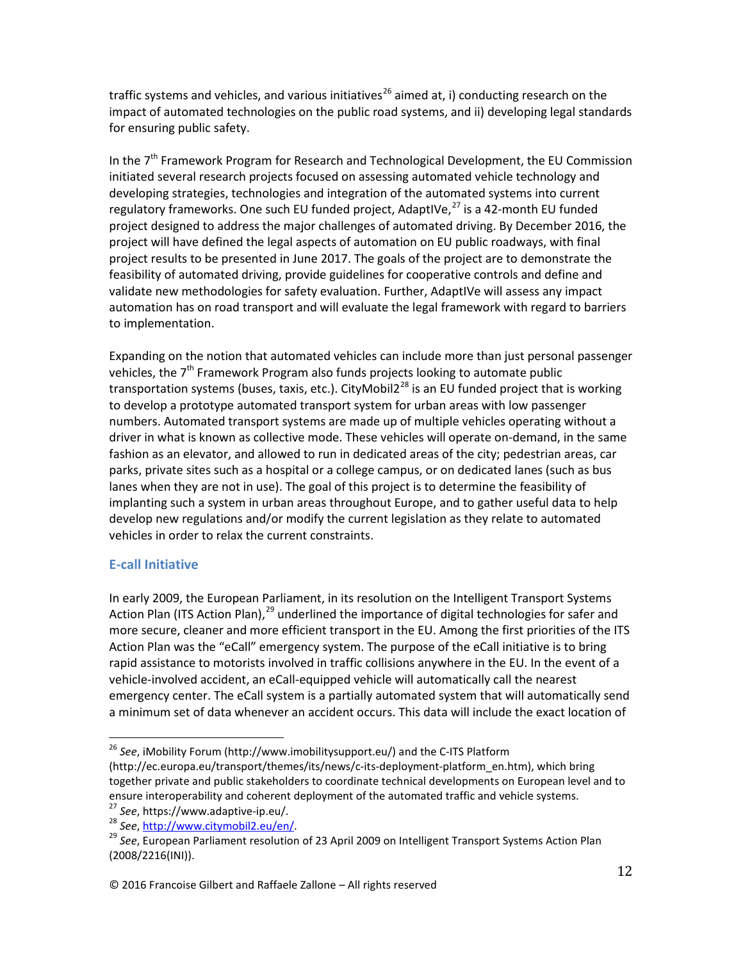traffic systems and vehicles, and various initiatives<sup>26</sup> aimed at, i) conducting research on the impact of automated technologies on the public road systems, and ii) developing legal standards for ensuring public safety.

In the  $7<sup>th</sup>$  Framework Program for Research and Technological Development, the EU Commission initiated several research projects focused on assessing automated vehicle technology and developing strategies, technologies and integration of the automated systems into current regulatory frameworks. One such EU funded project, AdaptIVe, $^{27}$  is a 42-month EU funded project designed to address the major challenges of automated driving. By December 2016, the project will have defined the legal aspects of automation on EU public roadways, with final project results to be presented in June 2017. The goals of the project are to demonstrate the feasibility of automated driving, provide guidelines for cooperative controls and define and validate new methodologies for safety evaluation. Further, AdaptIVe will assess any impact automation has on road transport and will evaluate the legal framework with regard to barriers to implementation.

Expanding on the notion that automated vehicles can include more than just personal passenger vehicles, the  $7<sup>th</sup>$  Framework Program also funds projects looking to automate public transportation systems (buses, taxis, etc.). CityMobil2<sup>28</sup> is an EU funded project that is working to develop a prototype automated transport system for urban areas with low passenger numbers. Automated transport systems are made up of multiple vehicles operating without a driver in what is known as collective mode. These vehicles will operate on-demand, in the same fashion as an elevator, and allowed to run in dedicated areas of the city; pedestrian areas, car parks, private sites such as a hospital or a college campus, or on dedicated lanes (such as bus lanes when they are not in use). The goal of this project is to determine the feasibility of implanting such a system in urban areas throughout Europe, and to gather useful data to help develop new regulations and/or modify the current legislation as they relate to automated vehicles in order to relax the current constraints.

# **E-call Initiative**

In early 2009, the European Parliament, in its resolution on the Intelligent Transport Systems Action Plan (ITS Action Plan), $^{29}$  underlined the importance of digital technologies for safer and more secure, cleaner and more efficient transport in the EU. Among the first priorities of the ITS Action Plan was the "eCall" emergency system. The purpose of the eCall initiative is to bring rapid assistance to motorists involved in traffic collisions anywhere in the EU. In the event of a vehicle-involved accident, an eCall-equipped vehicle will automatically call the nearest emergency center. The eCall system is a partially automated system that will automatically send a minimum set of data whenever an accident occurs. This data will include the exact location of

<sup>26</sup> *See*, iMobility Forum (http://www.imobilitysupport.eu/) and the C-ITS Platform

<sup>(</sup>http://ec.europa.eu/transport/themes/its/news/c-its-deployment-platform\_en.htm), which bring together private and public stakeholders to coordinate technical developments on European level and to ensure interoperability and coherent deployment of the automated traffic and vehicle systems.<br><sup>27</sup> See, https://www.adaptive-ip.eu/.<br><sup>28</sup> See, http://www.citymobil2.eu/en/.<br><sup>29</sup> See, European Parliament resolution of 23 Ap

<sup>(2008/2216(</sup>INI)).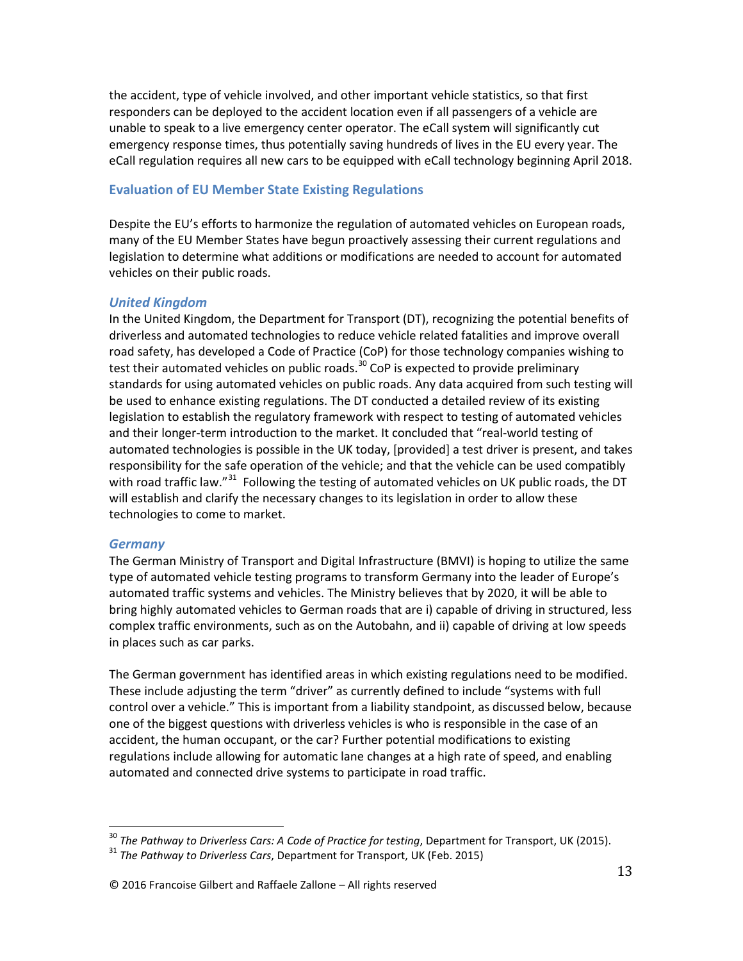the accident, type of vehicle involved, and other important vehicle statistics, so that first responders can be deployed to the accident location even if all passengers of a vehicle are unable to speak to a live emergency center operator. The eCall system will significantly cut emergency response times, thus potentially saving hundreds of lives in the EU every year. The eCall regulation requires all new cars to be equipped with eCall technology beginning April 2018.

# **Evaluation of EU Member State Existing Regulations**

Despite the EU's efforts to harmonize the regulation of automated vehicles on European roads, many of the EU Member States have begun proactively assessing their current regulations and legislation to determine what additions or modifications are needed to account for automated vehicles on their public roads.

### *United Kingdom*

In the United Kingdom, the Department for Transport (DT), recognizing the potential benefits of driverless and automated technologies to reduce vehicle related fatalities and improve overall road safety, has developed a Code of Practice (CoP) for those technology companies wishing to test their automated vehicles on public roads.<sup>30</sup> CoP is expected to provide preliminary standards for using automated vehicles on public roads. Any data acquired from such testing will be used to enhance existing regulations. The DT conducted a detailed review of its existing legislation to establish the regulatory framework with respect to testing of automated vehicles and their longer-term introduction to the market. It concluded that "real-world testing of automated technologies is possible in the UK today, [provided] a test driver is present, and takes responsibility for the safe operation of the vehicle; and that the vehicle can be used compatibly with road traffic law."<sup>31</sup> Following the testing of automated vehicles on UK public roads, the DT will establish and clarify the necessary changes to its legislation in order to allow these technologies to come to market.

### *Germany*

The German Ministry of Transport and Digital Infrastructure (BMVI) is hoping to utilize the same type of automated vehicle testing programs to transform Germany into the leader of Europe's automated traffic systems and vehicles. The Ministry believes that by 2020, it will be able to bring highly automated vehicles to German roads that are i) capable of driving in structured, less complex traffic environments, such as on the Autobahn, and ii) capable of driving at low speeds in places such as car parks.

The German government has identified areas in which existing regulations need to be modified. These include adjusting the term "driver" as currently defined to include "systems with full control over a vehicle." This is important from a liability standpoint, as discussed below, because one of the biggest questions with driverless vehicles is who is responsible in the case of an accident, the human occupant, or the car? Further potential modifications to existing regulations include allowing for automatic lane changes at a high rate of speed, and enabling automated and connected drive systems to participate in road traffic.

<sup>&</sup>lt;sup>30</sup> *The Pathway to Driverless Cars: A Code of Practice for testing*, Department for Transport, UK (2015).<br><sup>31</sup> *The Pathway to Driverless Cars*, Department for Transport, UK (Feb. 2015)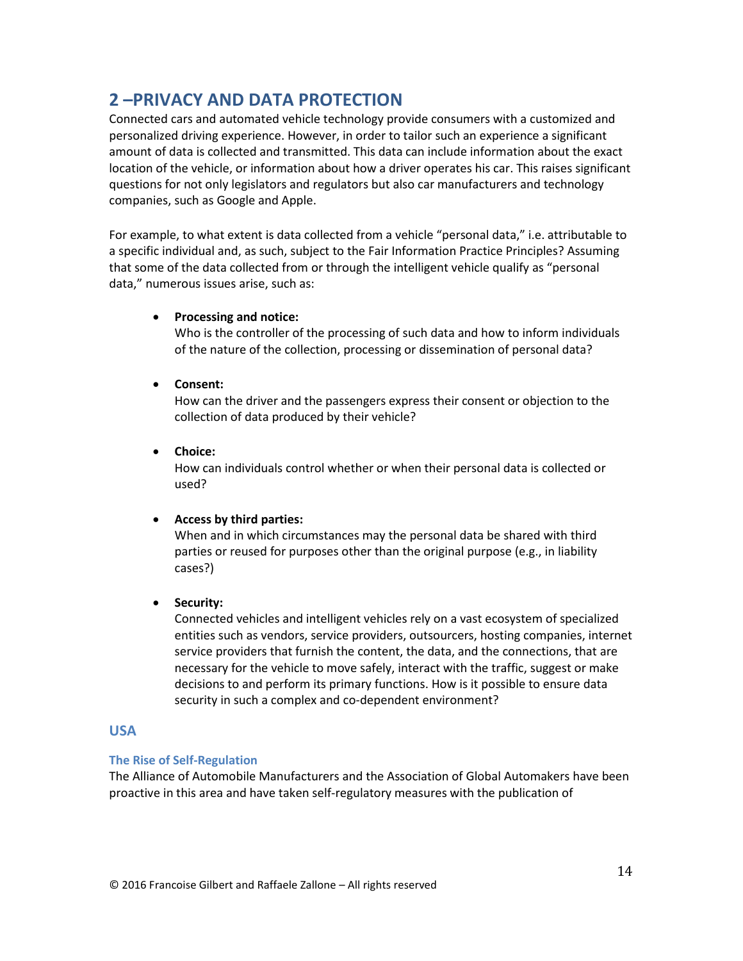# **2 –PRIVACY AND DATA PROTECTION**

Connected cars and automated vehicle technology provide consumers with a customized and personalized driving experience. However, in order to tailor such an experience a significant amount of data is collected and transmitted. This data can include information about the exact location of the vehicle, or information about how a driver operates his car. This raises significant questions for not only legislators and regulators but also car manufacturers and technology companies, such as Google and Apple.

For example, to what extent is data collected from a vehicle "personal data," i.e. attributable to a specific individual and, as such, subject to the Fair Information Practice Principles? Assuming that some of the data collected from or through the intelligent vehicle qualify as "personal data," numerous issues arise, such as:

### • **Processing and notice:**

Who is the controller of the processing of such data and how to inform individuals of the nature of the collection, processing or dissemination of personal data?

• **Consent:** 

How can the driver and the passengers express their consent or objection to the collection of data produced by their vehicle?

• **Choice:** 

How can individuals control whether or when their personal data is collected or used?

# • **Access by third parties:**

When and in which circumstances may the personal data be shared with third parties or reused for purposes other than the original purpose (e.g., in liability cases?)

# • **Security:**

Connected vehicles and intelligent vehicles rely on a vast ecosystem of specialized entities such as vendors, service providers, outsourcers, hosting companies, internet service providers that furnish the content, the data, and the connections, that are necessary for the vehicle to move safely, interact with the traffic, suggest or make decisions to and perform its primary functions. How is it possible to ensure data security in such a complex and co-dependent environment?

# **USA**

### **The Rise of Self-Regulation**

The Alliance of Automobile Manufacturers and the Association of Global Automakers have been proactive in this area and have taken self-regulatory measures with the publication of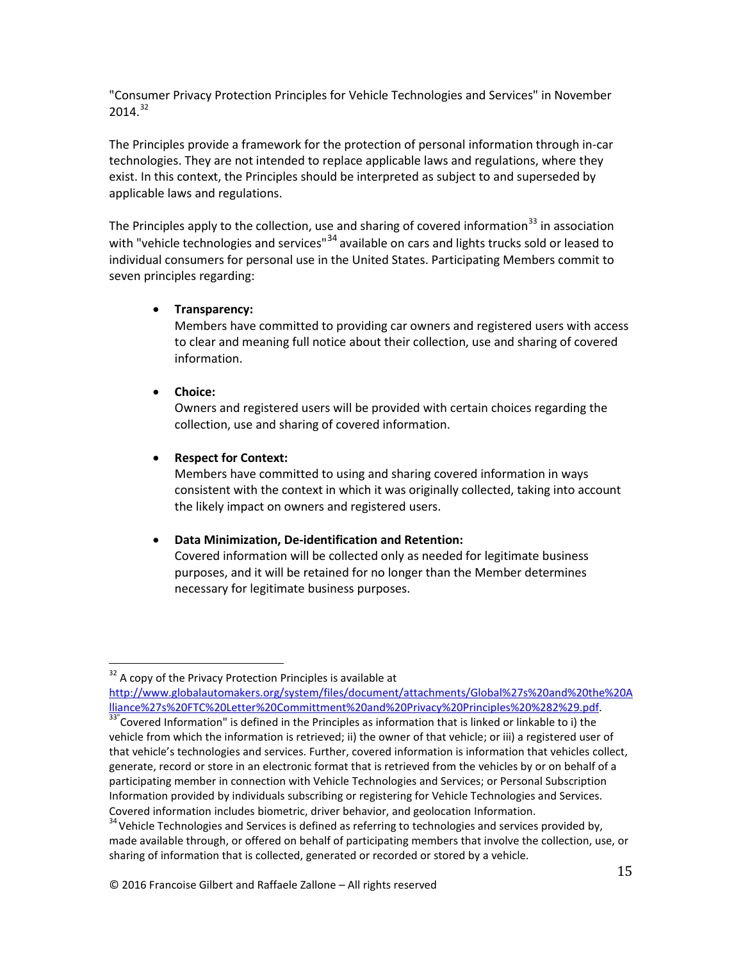"Consumer Privacy Protection Principles for Vehicle Technologies and Services" in November  $2014.<sup>32</sup>$ 

The Principles provide a framework for the protection of personal information through in-car technologies. They are not intended to replace applicable laws and regulations, where they exist. In this context, the Principles should be interpreted as subject to and superseded by applicable laws and regulations.

The Principles apply to the collection, use and sharing of covered information<sup>33</sup> in association with "vehicle technologies and services"<sup>34</sup> available on cars and lights trucks sold or leased to individual consumers for personal use in the United States. Participating Members commit to seven principles regarding:

### • **Transparency:**

Members have committed to providing car owners and registered users with access to clear and meaning full notice about their collection, use and sharing of covered information.

### • **Choice:**

Owners and registered users will be provided with certain choices regarding the collection, use and sharing of covered information.

### • **Respect for Context:**

Members have committed to using and sharing covered information in ways consistent with the context in which it was originally collected, taking into account the likely impact on owners and registered users.

# • **Data Minimization, De-identification and Retention:**

Covered information will be collected only as needed for legitimate business purposes, and it will be retained for no longer than the Member determines necessary for legitimate business purposes.

<sup>32</sup> A copy of the Privacy Protection Principles is available at http://www.globalautomakers.org/system/files/document/attachments/Global%27s%20and%20the%20A lliance%27s%20FTC%20Letter%20Committment%20and%20Privacy%20Principles%20%282%29.pdf. 33"

 $33"$ Covered Information" is defined in the Principles as information that is linked or linkable to i) the vehicle from which the information is retrieved; ii) the owner of that vehicle; or iii) a registered user of that vehicle's technologies and services. Further, covered information is information that vehicles collect, generate, record or store in an electronic format that is retrieved from the vehicles by or on behalf of a participating member in connection with Vehicle Technologies and Services; or Personal Subscription Information provided by individuals subscribing or registering for Vehicle Technologies and Services. Covered information includes biometric, driver behavior, and geolocation Information.

 $34$  Vehicle Technologies and Services is defined as referring to technologies and services provided by, made available through, or offered on behalf of participating members that involve the collection, use, or sharing of information that is collected, generated or recorded or stored by a vehicle.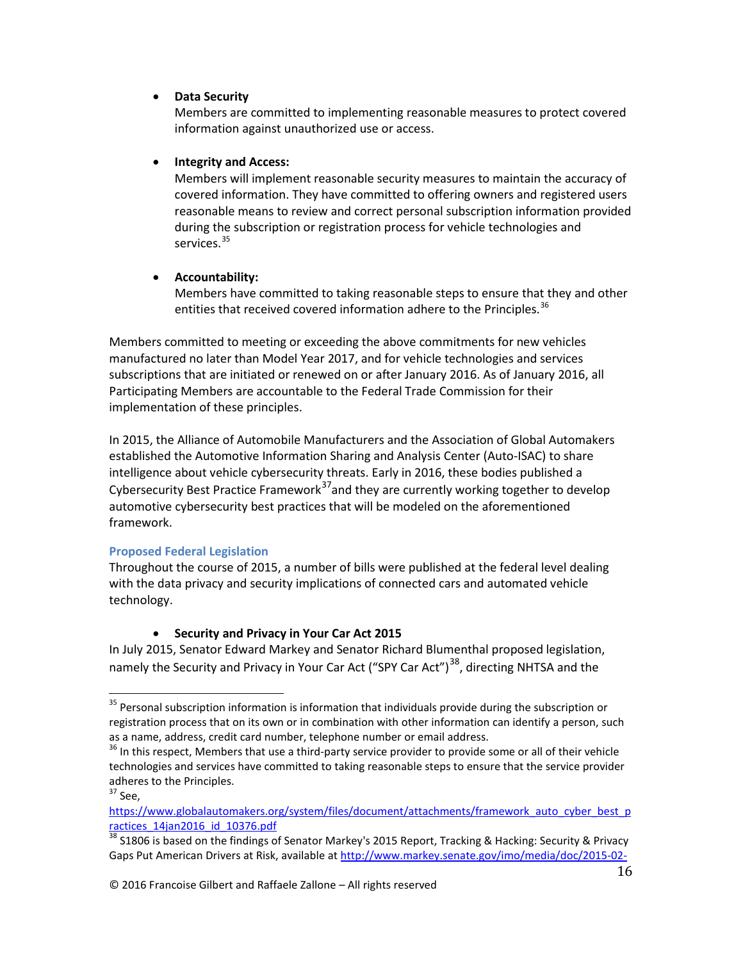### • **Data Security**

Members are committed to implementing reasonable measures to protect covered information against unauthorized use or access.

### • **Integrity and Access:**

Members will implement reasonable security measures to maintain the accuracy of covered information. They have committed to offering owners and registered users reasonable means to review and correct personal subscription information provided during the subscription or registration process for vehicle technologies and services.<sup>35</sup>

# • **Accountability:**

Members have committed to taking reasonable steps to ensure that they and other entities that received covered information adhere to the Principles.<sup>36</sup>

Members committed to meeting or exceeding the above commitments for new vehicles manufactured no later than Model Year 2017, and for vehicle technologies and services subscriptions that are initiated or renewed on or after January 2016. As of January 2016, all Participating Members are accountable to the Federal Trade Commission for their implementation of these principles.

In 2015, the Alliance of Automobile Manufacturers and the Association of Global Automakers established the Automotive Information Sharing and Analysis Center (Auto-ISAC) to share intelligence about vehicle cybersecurity threats. Early in 2016, these bodies published a Cybersecurity Best Practice Framework<sup>37</sup>and they are currently working together to develop automotive cybersecurity best practices that will be modeled on the aforementioned framework.

# **Proposed Federal Legislation**

Throughout the course of 2015, a number of bills were published at the federal level dealing with the data privacy and security implications of connected cars and automated vehicle technology.

# • **Security and Privacy in Your Car Act 2015**

In July 2015, Senator Edward Markey and Senator Richard Blumenthal proposed legislation, namely the Security and Privacy in Your Car Act ("SPY Car Act")<sup>38</sup>, directing NHTSA and the

<sup>&</sup>lt;sup>35</sup> Personal subscription information is information that individuals provide during the subscription or registration process that on its own or in combination with other information can identify a person, such as a name, address, credit card number, telephone number or email address.

<sup>&</sup>lt;sup>36</sup> In this respect, Members that use a third-party service provider to provide some or all of their vehicle technologies and services have committed to taking reasonable steps to ensure that the service provider adheres to the Principles.

 $37$  See,

https://www.globalautomakers.org/system/files/document/attachments/framework\_auto\_cyber\_best\_p ractices\_14jan2016\_id\_10376.pdf

<sup>38</sup> S1806 is based on the findings of Senator Markey's 2015 Report, Tracking & Hacking: Security & Privacy Gaps Put American Drivers at Risk, available at http://www.markey.senate.gov/imo/media/doc/2015-02-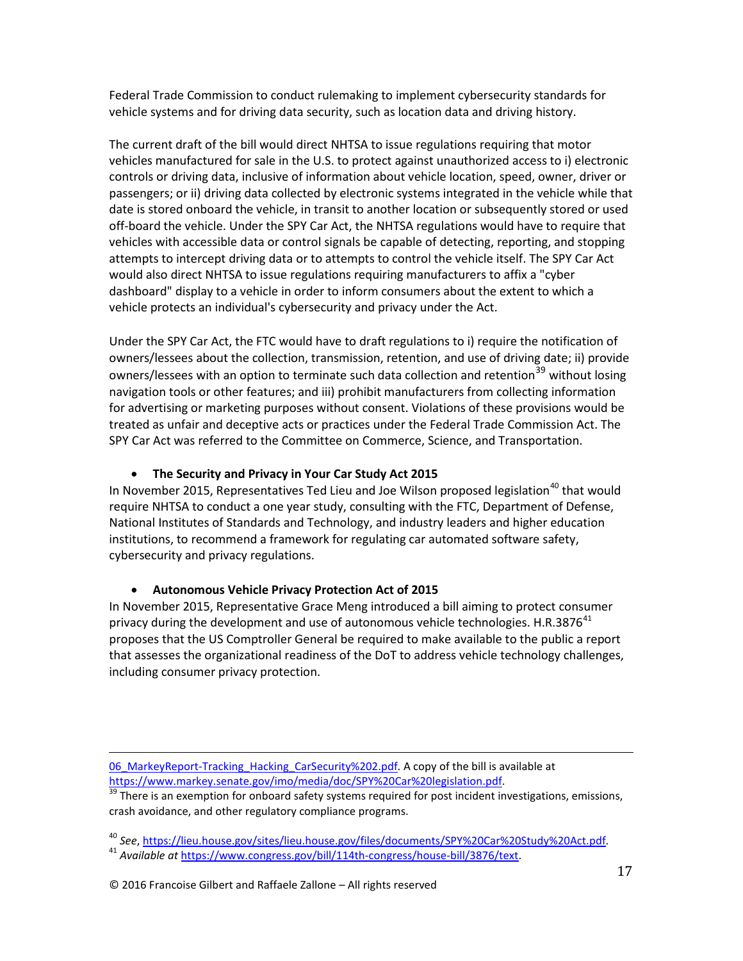Federal Trade Commission to conduct rulemaking to implement cybersecurity standards for vehicle systems and for driving data security, such as location data and driving history.

The current draft of the bill would direct NHTSA to issue regulations requiring that motor vehicles manufactured for sale in the U.S. to protect against unauthorized access to i) electronic controls or driving data, inclusive of information about vehicle location, speed, owner, driver or passengers; or ii) driving data collected by electronic systems integrated in the vehicle while that date is stored onboard the vehicle, in transit to another location or subsequently stored or used off-board the vehicle. Under the SPY Car Act, the NHTSA regulations would have to require that vehicles with accessible data or control signals be capable of detecting, reporting, and stopping attempts to intercept driving data or to attempts to control the vehicle itself. The SPY Car Act would also direct NHTSA to issue regulations requiring manufacturers to affix a "cyber dashboard" display to a vehicle in order to inform consumers about the extent to which a vehicle protects an individual's cybersecurity and privacy under the Act.

Under the SPY Car Act, the FTC would have to draft regulations to i) require the notification of owners/lessees about the collection, transmission, retention, and use of driving date; ii) provide owners/lessees with an option to terminate such data collection and retention<sup>39</sup> without losing navigation tools or other features; and iii) prohibit manufacturers from collecting information for advertising or marketing purposes without consent. Violations of these provisions would be treated as unfair and deceptive acts or practices under the Federal Trade Commission Act. The SPY Car Act was referred to the Committee on Commerce, Science, and Transportation.

### • **The Security and Privacy in Your Car Study Act 2015**

In November 2015, Representatives Ted Lieu and Joe Wilson proposed legislation<sup>40</sup> that would require NHTSA to conduct a one year study, consulting with the FTC, Department of Defense, National Institutes of Standards and Technology, and industry leaders and higher education institutions, to recommend a framework for regulating car automated software safety, cybersecurity and privacy regulations.

# • **Autonomous Vehicle Privacy Protection Act of 2015**

In November 2015, Representative Grace Meng introduced a bill aiming to protect consumer privacy during the development and use of autonomous vehicle technologies. H.R.3876<sup>41</sup> proposes that the US Comptroller General be required to make available to the public a report that assesses the organizational readiness of the DoT to address vehicle technology challenges, including consumer privacy protection.

i<br>I 06 MarkeyReport-Tracking Hacking CarSecurity%202.pdf. A copy of the bill is available at https://www.markey.senate.gov/imo/media/doc/SPY%20Car%20legislation.pdf.<br><sup>39</sup> There is an exemption for onboard safety systems required for post incident investigations, emissions,

crash avoidance, and other regulatory compliance programs.

<sup>40</sup> *See*, https://lieu.house.gov/sites/lieu.house.gov/files/documents/SPY%20Car%20Study%20Act.pdf. <sup>41</sup> *Available at* https://www.congress.gov/bill/114th-congress/house-bill/3876/text.

<sup>© 2016</sup> Francoise Gilbert and Raffaele Zallone – All rights reserved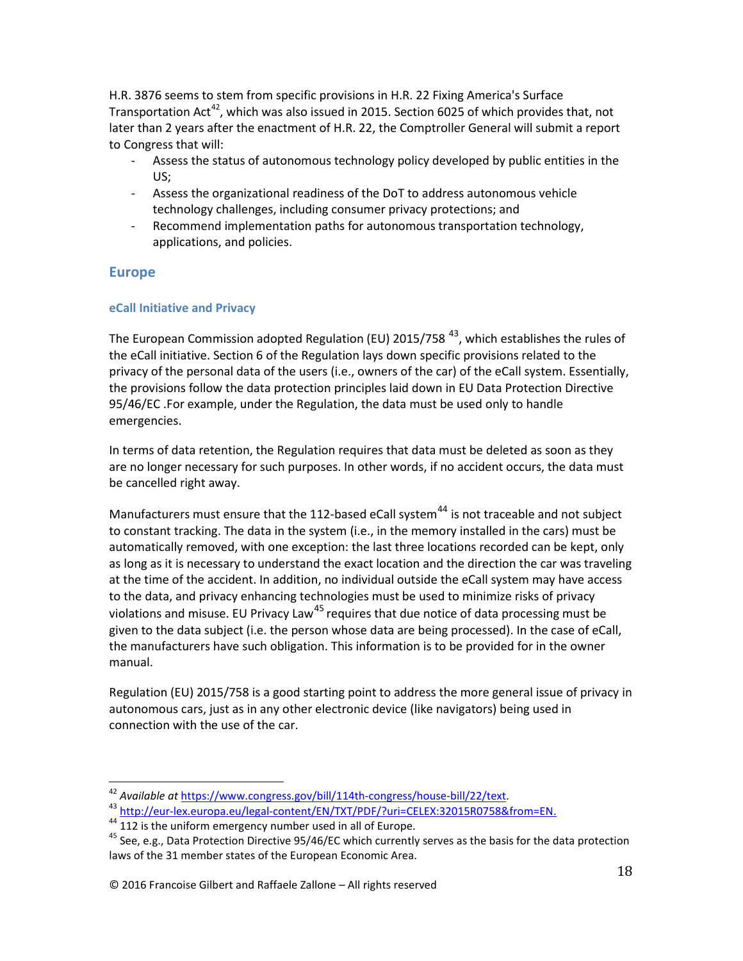H.R. 3876 seems to stem from specific provisions in H.R. 22 Fixing America's Surface Transportation Act<sup>42</sup>, which was also issued in 2015. Section 6025 of which provides that, not later than 2 years after the enactment of H.R. 22, the Comptroller General will submit a report to Congress that will:

- Assess the status of autonomous technology policy developed by public entities in the US;
- Assess the organizational readiness of the DoT to address autonomous vehicle technology challenges, including consumer privacy protections; and
- Recommend implementation paths for autonomous transportation technology, applications, and policies.

# **Europe**

### **eCall Initiative and Privacy**

The European Commission adopted Regulation (EU) 2015/758  $^{43}$ , which establishes the rules of the eCall initiative. Section 6 of the Regulation lays down specific provisions related to the privacy of the personal data of the users (i.e., owners of the car) of the eCall system. Essentially, the provisions follow the data protection principles laid down in EU Data Protection Directive 95/46/EC .For example, under the Regulation, the data must be used only to handle emergencies.

In terms of data retention, the Regulation requires that data must be deleted as soon as they are no longer necessary for such purposes. In other words, if no accident occurs, the data must be cancelled right away.

Manufacturers must ensure that the 112-based eCall system<sup>44</sup> is not traceable and not subject to constant tracking. The data in the system (i.e., in the memory installed in the cars) must be automatically removed, with one exception: the last three locations recorded can be kept, only as long as it is necessary to understand the exact location and the direction the car was traveling at the time of the accident. In addition, no individual outside the eCall system may have access to the data, and privacy enhancing technologies must be used to minimize risks of privacy violations and misuse. EU Privacy Law<sup>45</sup> requires that due notice of data processing must be given to the data subject (i.e. the person whose data are being processed). In the case of eCall, the manufacturers have such obligation. This information is to be provided for in the owner manual.

Regulation (EU) 2015/758 is a good starting point to address the more general issue of privacy in autonomous cars, just as in any other electronic device (like navigators) being used in connection with the use of the car.

<sup>&</sup>lt;sup>42</sup> Available at https://www.congress.gov/bill/114th-congress/house-bill/22/text.<br><sup>43</sup> http://eur-lex.europa.eu/legal-content/EN/TXT/PDF/?uri=CELEX:32015R0758&from=EN.<br><sup>44</sup> 112 is the uniform emergency number used in all laws of the 31 member states of the European Economic Area.

<sup>© 2016</sup> Francoise Gilbert and Raffaele Zallone – All rights reserved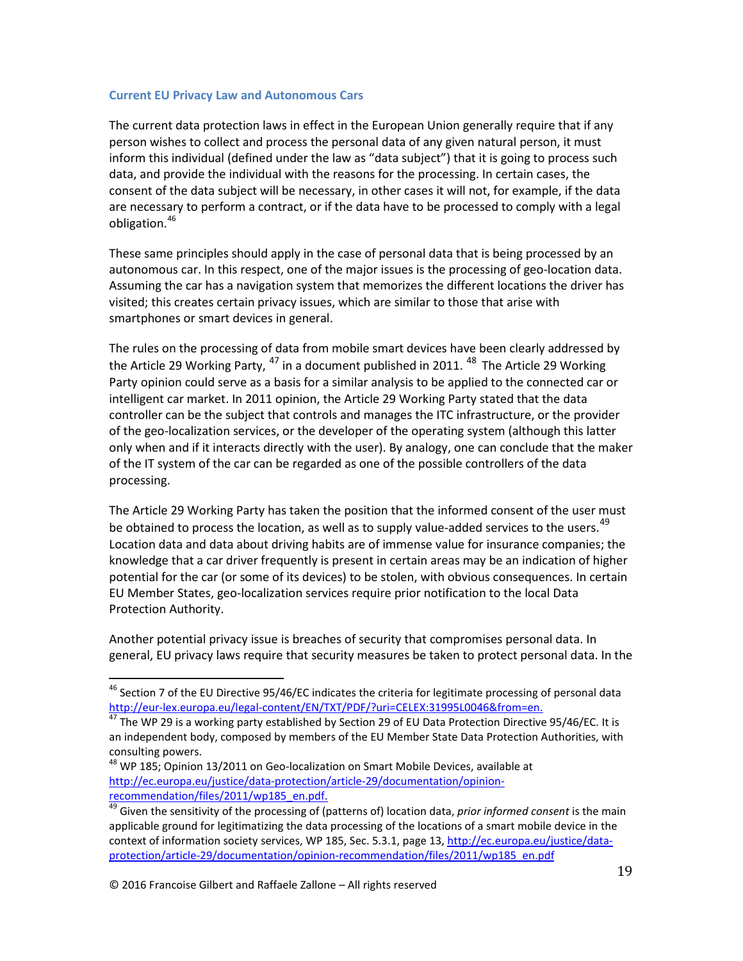### **Current EU Privacy Law and Autonomous Cars**

The current data protection laws in effect in the European Union generally require that if any person wishes to collect and process the personal data of any given natural person, it must inform this individual (defined under the law as "data subject") that it is going to process such data, and provide the individual with the reasons for the processing. In certain cases, the consent of the data subject will be necessary, in other cases it will not, for example, if the data are necessary to perform a contract, or if the data have to be processed to comply with a legal obligation.<sup>46</sup>

These same principles should apply in the case of personal data that is being processed by an autonomous car. In this respect, one of the major issues is the processing of geo-location data. Assuming the car has a navigation system that memorizes the different locations the driver has visited; this creates certain privacy issues, which are similar to those that arise with smartphones or smart devices in general.

The rules on the processing of data from mobile smart devices have been clearly addressed by the Article 29 Working Party,  $^{47}$  in a document published in 2011.  $^{48}$  The Article 29 Working Party opinion could serve as a basis for a similar analysis to be applied to the connected car or intelligent car market. In 2011 opinion, the Article 29 Working Party stated that the data controller can be the subject that controls and manages the ITC infrastructure, or the provider of the geo-localization services, or the developer of the operating system (although this latter only when and if it interacts directly with the user). By analogy, one can conclude that the maker of the IT system of the car can be regarded as one of the possible controllers of the data processing.

The Article 29 Working Party has taken the position that the informed consent of the user must be obtained to process the location, as well as to supply value-added services to the users.<sup>49</sup> Location data and data about driving habits are of immense value for insurance companies; the knowledge that a car driver frequently is present in certain areas may be an indication of higher potential for the car (or some of its devices) to be stolen, with obvious consequences. In certain EU Member States, geo-localization services require prior notification to the local Data Protection Authority.

Another potential privacy issue is breaches of security that compromises personal data. In general, EU privacy laws require that security measures be taken to protect personal data. In the

<sup>&</sup>lt;sup>46</sup> Section 7 of the EU Directive 95/46/EC indicates the criteria for legitimate processing of personal data http://eur-lex.europa.eu/legal-content/EN/TXT/PDF/?uri=CELEX:31995L0046&from=en.<br><sup>47</sup> The WP 29 is a working party established by Section 29 of EU Data Protection Directive 95/46/EC. It is

an independent body, composed by members of the EU Member State Data Protection Authorities, with consulting powers.

<sup>&</sup>lt;sup>48</sup> WP 185; Opinion 13/2011 on Geo-localization on Smart Mobile Devices, available at http://ec.europa.eu/justice/data-protection/article-29/documentation/opinion-

recommendation/files/2011/wp185\_en.pdf. <sup>49</sup> Given the sensitivity of the processing of (patterns of) location data, *prior informed consent* is the main applicable ground for legitimatizing the data processing of the locations of a smart mobile device in the context of information society services, WP 185, Sec. 5.3.1, page 13, http://ec.europa.eu/justice/dataprotection/article-29/documentation/opinion-recommendation/files/2011/wp185\_en.pdf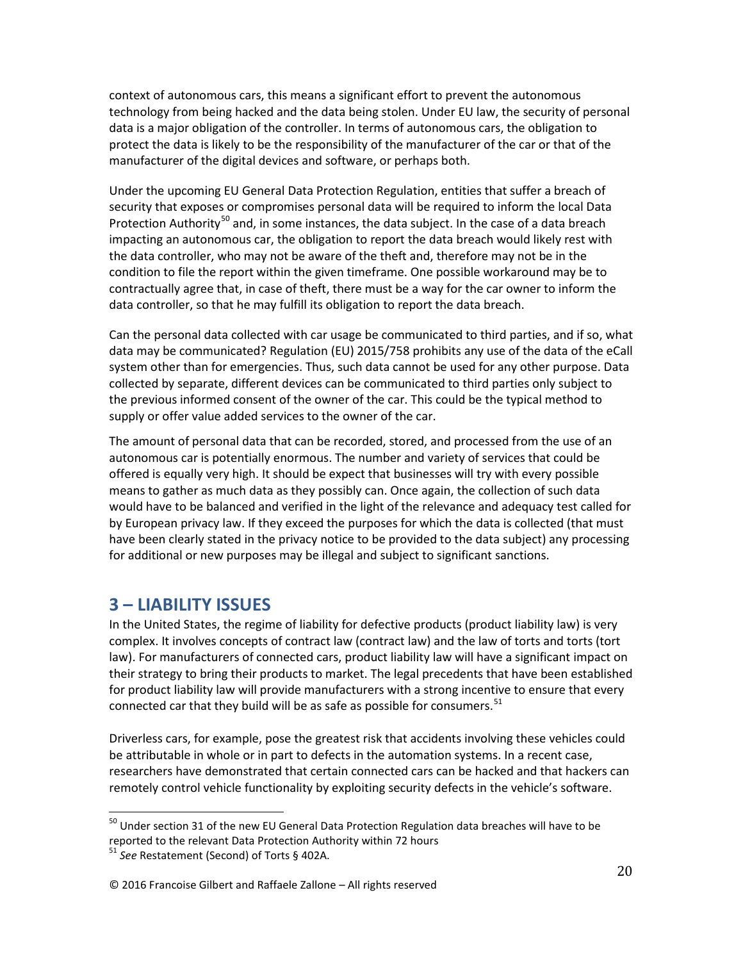context of autonomous cars, this means a significant effort to prevent the autonomous technology from being hacked and the data being stolen. Under EU law, the security of personal data is a major obligation of the controller. In terms of autonomous cars, the obligation to protect the data is likely to be the responsibility of the manufacturer of the car or that of the manufacturer of the digital devices and software, or perhaps both.

Under the upcoming EU General Data Protection Regulation, entities that suffer a breach of security that exposes or compromises personal data will be required to inform the local Data Protection Authority<sup>50</sup> and, in some instances, the data subject. In the case of a data breach impacting an autonomous car, the obligation to report the data breach would likely rest with the data controller, who may not be aware of the theft and, therefore may not be in the condition to file the report within the given timeframe. One possible workaround may be to contractually agree that, in case of theft, there must be a way for the car owner to inform the data controller, so that he may fulfill its obligation to report the data breach.

Can the personal data collected with car usage be communicated to third parties, and if so, what data may be communicated? Regulation (EU) 2015/758 prohibits any use of the data of the eCall system other than for emergencies. Thus, such data cannot be used for any other purpose. Data collected by separate, different devices can be communicated to third parties only subject to the previous informed consent of the owner of the car. This could be the typical method to supply or offer value added services to the owner of the car.

The amount of personal data that can be recorded, stored, and processed from the use of an autonomous car is potentially enormous. The number and variety of services that could be offered is equally very high. It should be expect that businesses will try with every possible means to gather as much data as they possibly can. Once again, the collection of such data would have to be balanced and verified in the light of the relevance and adequacy test called for by European privacy law. If they exceed the purposes for which the data is collected (that must have been clearly stated in the privacy notice to be provided to the data subject) any processing for additional or new purposes may be illegal and subject to significant sanctions.

# **3 – LIABILITY ISSUES**

In the United States, the regime of liability for defective products (product liability law) is very complex. It involves concepts of contract law (contract law) and the law of torts and torts (tort law). For manufacturers of connected cars, product liability law will have a significant impact on their strategy to bring their products to market. The legal precedents that have been established for product liability law will provide manufacturers with a strong incentive to ensure that every connected car that they build will be as safe as possible for consumers.<sup>51</sup>

Driverless cars, for example, pose the greatest risk that accidents involving these vehicles could be attributable in whole or in part to defects in the automation systems. In a recent case, researchers have demonstrated that certain connected cars can be hacked and that hackers can remotely control vehicle functionality by exploiting security defects in the vehicle's software.

<sup>&</sup>lt;sup>50</sup> Under section 31 of the new EU General Data Protection Regulation data breaches will have to be reported to the relevant Data Protection Authority within 72 hours

<sup>51</sup> *See* Restatement (Second) of Torts § 402A.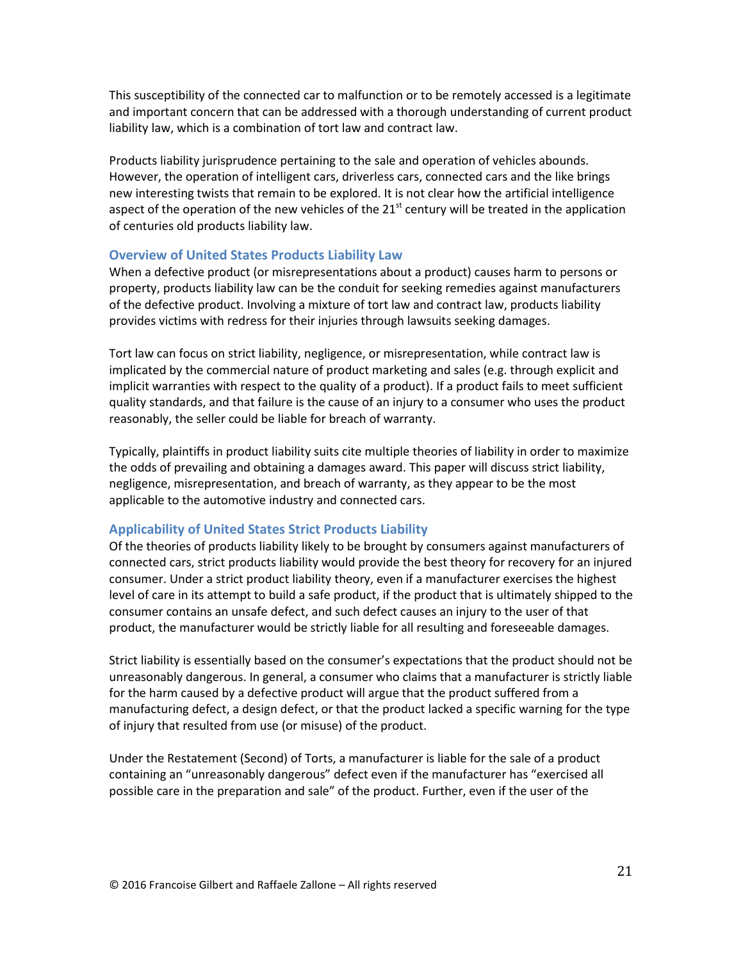This susceptibility of the connected car to malfunction or to be remotely accessed is a legitimate and important concern that can be addressed with a thorough understanding of current product liability law, which is a combination of tort law and contract law.

Products liability jurisprudence pertaining to the sale and operation of vehicles abounds. However, the operation of intelligent cars, driverless cars, connected cars and the like brings new interesting twists that remain to be explored. It is not clear how the artificial intelligence aspect of the operation of the new vehicles of the  $21<sup>st</sup>$  century will be treated in the application of centuries old products liability law.

### **Overview of United States Products Liability Law**

When a defective product (or misrepresentations about a product) causes harm to persons or property, products liability law can be the conduit for seeking remedies against manufacturers of the defective product. Involving a mixture of tort law and contract law, products liability provides victims with redress for their injuries through lawsuits seeking damages.

Tort law can focus on strict liability, negligence, or misrepresentation, while contract law is implicated by the commercial nature of product marketing and sales (e.g. through explicit and implicit warranties with respect to the quality of a product). If a product fails to meet sufficient quality standards, and that failure is the cause of an injury to a consumer who uses the product reasonably, the seller could be liable for breach of warranty.

Typically, plaintiffs in product liability suits cite multiple theories of liability in order to maximize the odds of prevailing and obtaining a damages award. This paper will discuss strict liability, negligence, misrepresentation, and breach of warranty, as they appear to be the most applicable to the automotive industry and connected cars.

### **Applicability of United States Strict Products Liability**

Of the theories of products liability likely to be brought by consumers against manufacturers of connected cars, strict products liability would provide the best theory for recovery for an injured consumer. Under a strict product liability theory, even if a manufacturer exercises the highest level of care in its attempt to build a safe product, if the product that is ultimately shipped to the consumer contains an unsafe defect, and such defect causes an injury to the user of that product, the manufacturer would be strictly liable for all resulting and foreseeable damages.

Strict liability is essentially based on the consumer's expectations that the product should not be unreasonably dangerous. In general, a consumer who claims that a manufacturer is strictly liable for the harm caused by a defective product will argue that the product suffered from a manufacturing defect, a design defect, or that the product lacked a specific warning for the type of injury that resulted from use (or misuse) of the product.

Under the Restatement (Second) of Torts, a manufacturer is liable for the sale of a product containing an "unreasonably dangerous" defect even if the manufacturer has "exercised all possible care in the preparation and sale" of the product. Further, even if the user of the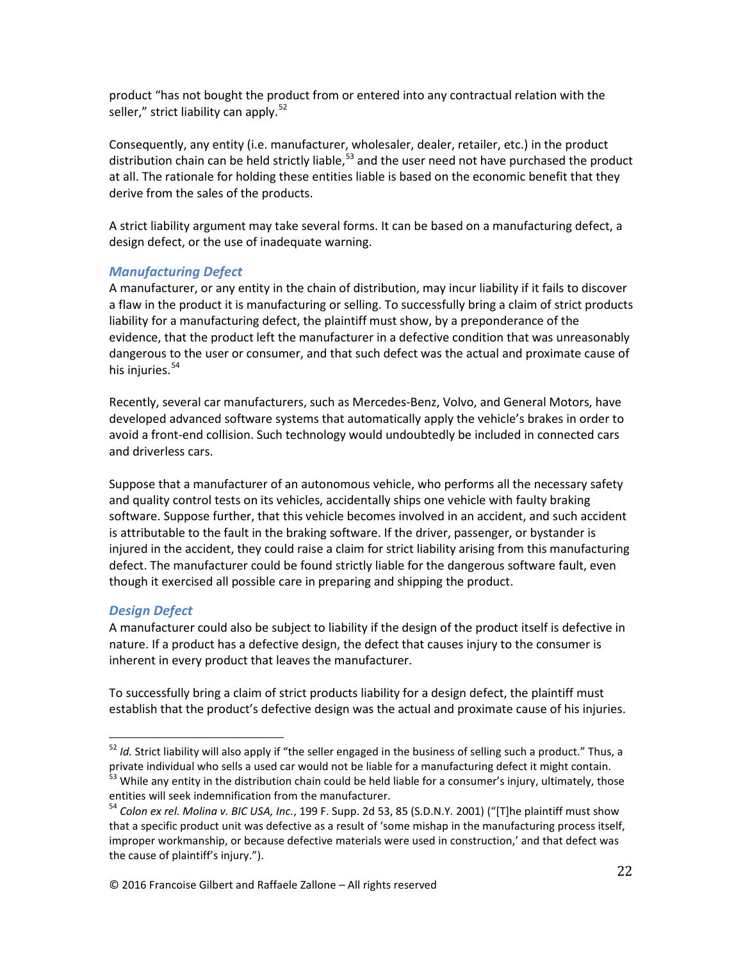product "has not bought the product from or entered into any contractual relation with the seller," strict liability can apply.<sup>52</sup>

Consequently, any entity (i.e. manufacturer, wholesaler, dealer, retailer, etc.) in the product distribution chain can be held strictly liable, $53$  and the user need not have purchased the product at all. The rationale for holding these entities liable is based on the economic benefit that they derive from the sales of the products.

A strict liability argument may take several forms. It can be based on a manufacturing defect, a design defect, or the use of inadequate warning.

# *Manufacturing Defect*

A manufacturer, or any entity in the chain of distribution, may incur liability if it fails to discover a flaw in the product it is manufacturing or selling. To successfully bring a claim of strict products liability for a manufacturing defect, the plaintiff must show, by a preponderance of the evidence, that the product left the manufacturer in a defective condition that was unreasonably dangerous to the user or consumer, and that such defect was the actual and proximate cause of his injuries. $54$ 

Recently, several car manufacturers, such as Mercedes-Benz, Volvo, and General Motors, have developed advanced software systems that automatically apply the vehicle's brakes in order to avoid a front-end collision. Such technology would undoubtedly be included in connected cars and driverless cars.

Suppose that a manufacturer of an autonomous vehicle, who performs all the necessary safety and quality control tests on its vehicles, accidentally ships one vehicle with faulty braking software. Suppose further, that this vehicle becomes involved in an accident, and such accident is attributable to the fault in the braking software. If the driver, passenger, or bystander is injured in the accident, they could raise a claim for strict liability arising from this manufacturing defect. The manufacturer could be found strictly liable for the dangerous software fault, even though it exercised all possible care in preparing and shipping the product.

# *Design Defect*

A manufacturer could also be subject to liability if the design of the product itself is defective in nature. If a product has a defective design, the defect that causes injury to the consumer is inherent in every product that leaves the manufacturer.

To successfully bring a claim of strict products liability for a design defect, the plaintiff must establish that the product's defective design was the actual and proximate cause of his injuries.

<sup>&</sup>lt;sup>52</sup> *Id.* Strict liability will also apply if "the seller engaged in the business of selling such a product." Thus, a private individual who sells a used car would not be liable for a manufacturing defect it might contain

 $53$  While any entity in the distribution chain could be held liable for a consumer's injury, ultimately, those entities will seek indemnification from the manufacturer.<br><sup>54</sup> *Colon ex rel. Molina v. BIC USA, Inc.*, 199 F. Supp. 2d 53, 85 (S.D.N.Y. 2001) ("[T]he plaintiff must show

that a specific product unit was defective as a result of 'some mishap in the manufacturing process itself, improper workmanship, or because defective materials were used in construction,' and that defect was the cause of plaintiff's injury.").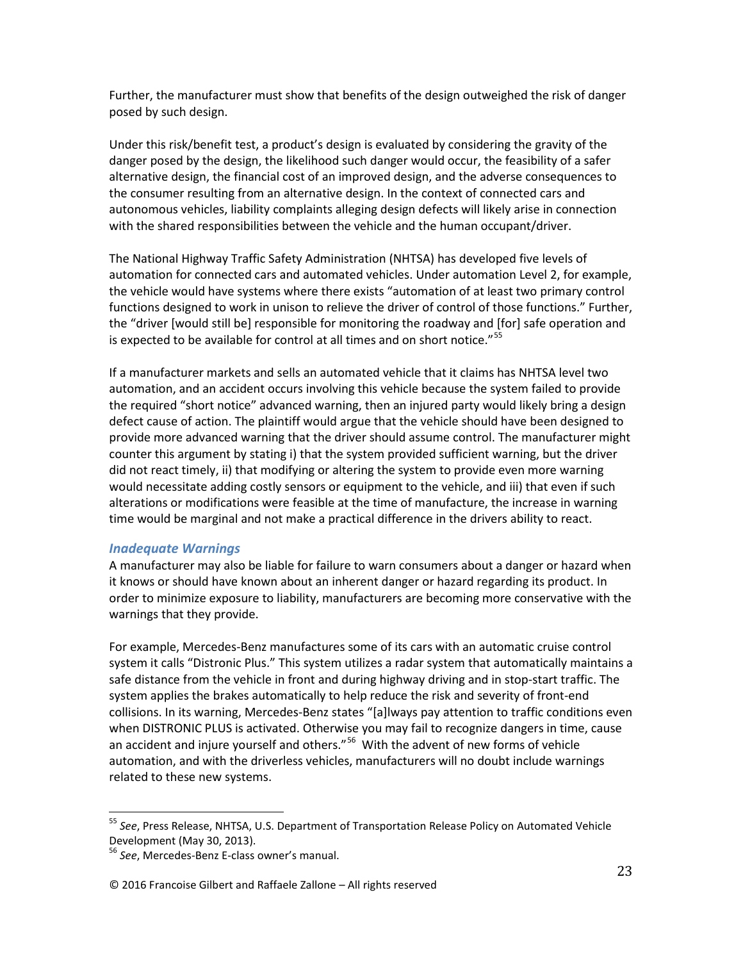Further, the manufacturer must show that benefits of the design outweighed the risk of danger posed by such design.

Under this risk/benefit test, a product's design is evaluated by considering the gravity of the danger posed by the design, the likelihood such danger would occur, the feasibility of a safer alternative design, the financial cost of an improved design, and the adverse consequences to the consumer resulting from an alternative design. In the context of connected cars and autonomous vehicles, liability complaints alleging design defects will likely arise in connection with the shared responsibilities between the vehicle and the human occupant/driver.

The National Highway Traffic Safety Administration (NHTSA) has developed five levels of automation for connected cars and automated vehicles. Under automation Level 2, for example, the vehicle would have systems where there exists "automation of at least two primary control functions designed to work in unison to relieve the driver of control of those functions." Further, the "driver [would still be] responsible for monitoring the roadway and [for] safe operation and is expected to be available for control at all times and on short notice."<sup>55</sup>

If a manufacturer markets and sells an automated vehicle that it claims has NHTSA level two automation, and an accident occurs involving this vehicle because the system failed to provide the required "short notice" advanced warning, then an injured party would likely bring a design defect cause of action. The plaintiff would argue that the vehicle should have been designed to provide more advanced warning that the driver should assume control. The manufacturer might counter this argument by stating i) that the system provided sufficient warning, but the driver did not react timely, ii) that modifying or altering the system to provide even more warning would necessitate adding costly sensors or equipment to the vehicle, and iii) that even if such alterations or modifications were feasible at the time of manufacture, the increase in warning time would be marginal and not make a practical difference in the drivers ability to react.

### *Inadequate Warnings*

A manufacturer may also be liable for failure to warn consumers about a danger or hazard when it knows or should have known about an inherent danger or hazard regarding its product. In order to minimize exposure to liability, manufacturers are becoming more conservative with the warnings that they provide.

For example, Mercedes-Benz manufactures some of its cars with an automatic cruise control system it calls "Distronic Plus." This system utilizes a radar system that automatically maintains a safe distance from the vehicle in front and during highway driving and in stop-start traffic. The system applies the brakes automatically to help reduce the risk and severity of front-end collisions. In its warning, Mercedes-Benz states "[a]lways pay attention to traffic conditions even when DISTRONIC PLUS is activated. Otherwise you may fail to recognize dangers in time, cause an accident and injure yourself and others."<sup>56</sup> With the advent of new forms of vehicle automation, and with the driverless vehicles, manufacturers will no doubt include warnings related to these new systems.

<sup>55</sup> *See*, Press Release, NHTSA, U.S. Department of Transportation Release Policy on Automated Vehicle Development (May 30, 2013).

<sup>56</sup> *See*, Mercedes-Benz E-class owner's manual.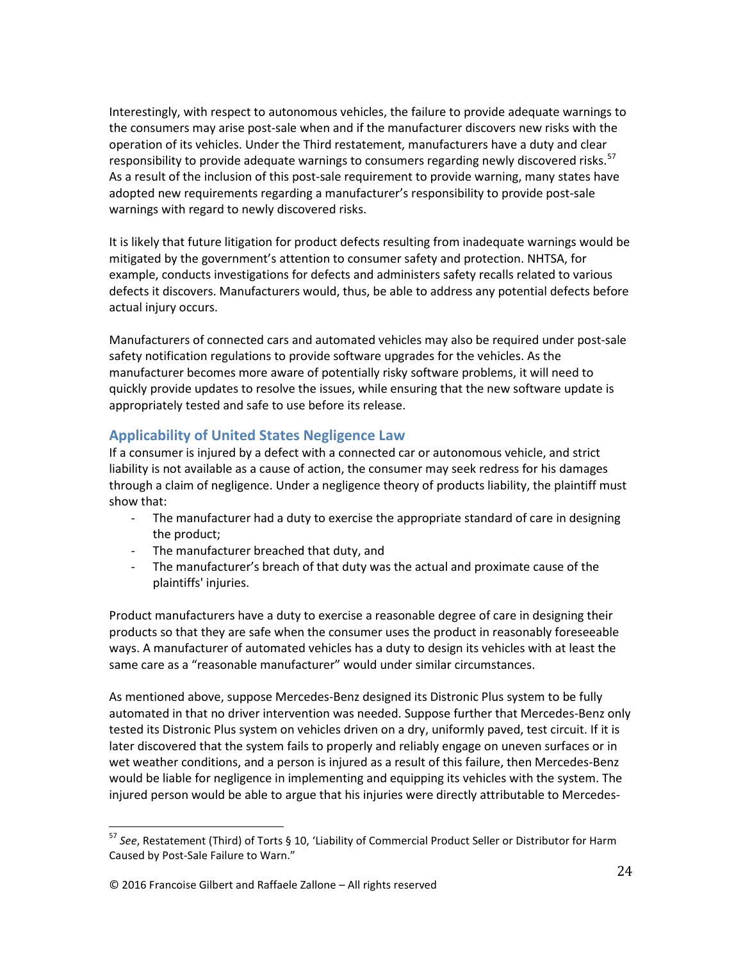Interestingly, with respect to autonomous vehicles, the failure to provide adequate warnings to the consumers may arise post-sale when and if the manufacturer discovers new risks with the operation of its vehicles. Under the Third restatement, manufacturers have a duty and clear responsibility to provide adequate warnings to consumers regarding newly discovered risks.<sup>57</sup> As a result of the inclusion of this post-sale requirement to provide warning, many states have adopted new requirements regarding a manufacturer's responsibility to provide post-sale warnings with regard to newly discovered risks.

It is likely that future litigation for product defects resulting from inadequate warnings would be mitigated by the government's attention to consumer safety and protection. NHTSA, for example, conducts investigations for defects and administers safety recalls related to various defects it discovers. Manufacturers would, thus, be able to address any potential defects before actual injury occurs.

Manufacturers of connected cars and automated vehicles may also be required under post-sale safety notification regulations to provide software upgrades for the vehicles. As the manufacturer becomes more aware of potentially risky software problems, it will need to quickly provide updates to resolve the issues, while ensuring that the new software update is appropriately tested and safe to use before its release.

# **Applicability of United States Negligence Law**

If a consumer is injured by a defect with a connected car or autonomous vehicle, and strict liability is not available as a cause of action, the consumer may seek redress for his damages through a claim of negligence. Under a negligence theory of products liability, the plaintiff must show that:

- The manufacturer had a duty to exercise the appropriate standard of care in designing the product;
- The manufacturer breached that duty, and
- The manufacturer's breach of that duty was the actual and proximate cause of the plaintiffs' injuries.

Product manufacturers have a duty to exercise a reasonable degree of care in designing their products so that they are safe when the consumer uses the product in reasonably foreseeable ways. A manufacturer of automated vehicles has a duty to design its vehicles with at least the same care as a "reasonable manufacturer" would under similar circumstances.

As mentioned above, suppose Mercedes-Benz designed its Distronic Plus system to be fully automated in that no driver intervention was needed. Suppose further that Mercedes-Benz only tested its Distronic Plus system on vehicles driven on a dry, uniformly paved, test circuit. If it is later discovered that the system fails to properly and reliably engage on uneven surfaces or in wet weather conditions, and a person is injured as a result of this failure, then Mercedes-Benz would be liable for negligence in implementing and equipping its vehicles with the system. The injured person would be able to argue that his injuries were directly attributable to Mercedes-

<sup>57</sup> *See*, Restatement (Third) of Torts § 10, 'Liability of Commercial Product Seller or Distributor for Harm Caused by Post-Sale Failure to Warn."

<sup>© 2016</sup> Francoise Gilbert and Raffaele Zallone – All rights reserved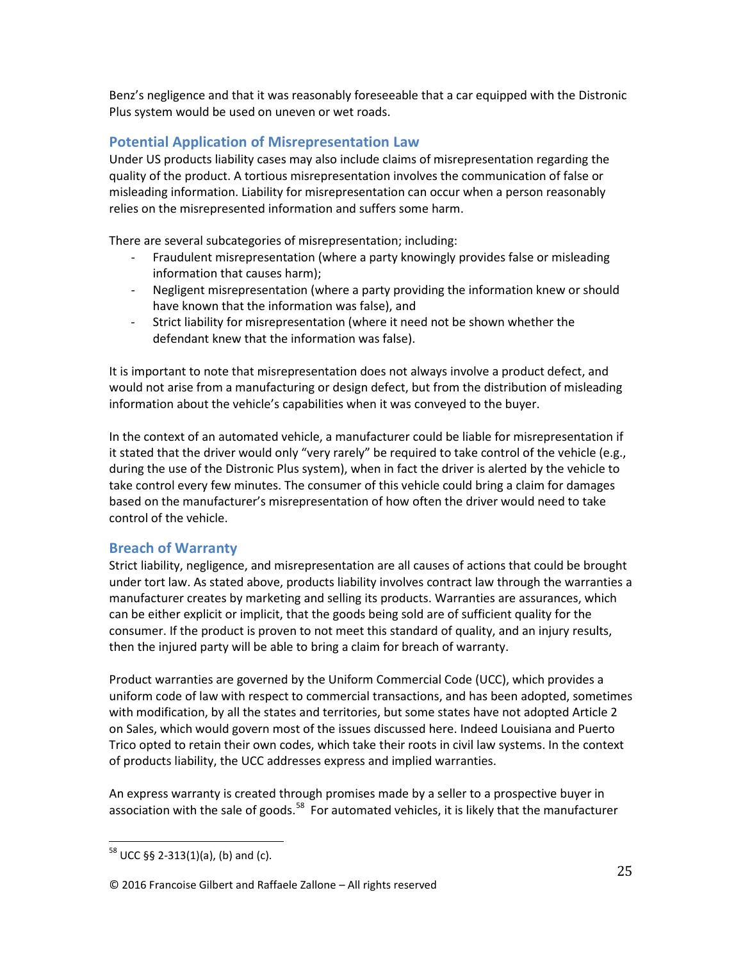Benz's negligence and that it was reasonably foreseeable that a car equipped with the Distronic Plus system would be used on uneven or wet roads.

# **Potential Application of Misrepresentation Law**

Under US products liability cases may also include claims of misrepresentation regarding the quality of the product. A tortious misrepresentation involves the communication of false or misleading information. Liability for misrepresentation can occur when a person reasonably relies on the misrepresented information and suffers some harm.

There are several subcategories of misrepresentation; including:

- Fraudulent misrepresentation (where a party knowingly provides false or misleading information that causes harm);
- Negligent misrepresentation (where a party providing the information knew or should have known that the information was false), and
- Strict liability for misrepresentation (where it need not be shown whether the defendant knew that the information was false).

It is important to note that misrepresentation does not always involve a product defect, and would not arise from a manufacturing or design defect, but from the distribution of misleading information about the vehicle's capabilities when it was conveyed to the buyer.

In the context of an automated vehicle, a manufacturer could be liable for misrepresentation if it stated that the driver would only "very rarely" be required to take control of the vehicle (e.g., during the use of the Distronic Plus system), when in fact the driver is alerted by the vehicle to take control every few minutes. The consumer of this vehicle could bring a claim for damages based on the manufacturer's misrepresentation of how often the driver would need to take control of the vehicle.

# **Breach of Warranty**

Strict liability, negligence, and misrepresentation are all causes of actions that could be brought under tort law. As stated above, products liability involves contract law through the warranties a manufacturer creates by marketing and selling its products. Warranties are assurances, which can be either explicit or implicit, that the goods being sold are of sufficient quality for the consumer. If the product is proven to not meet this standard of quality, and an injury results, then the injured party will be able to bring a claim for breach of warranty.

Product warranties are governed by the Uniform Commercial Code (UCC), which provides a uniform code of law with respect to commercial transactions, and has been adopted, sometimes with modification, by all the states and territories, but some states have not adopted Article 2 on Sales, which would govern most of the issues discussed here. Indeed Louisiana and Puerto Trico opted to retain their own codes, which take their roots in civil law systems. In the context of products liability, the UCC addresses express and implied warranties.

An express warranty is created through promises made by a seller to a prospective buyer in association with the sale of goods.<sup>58</sup> For automated vehicles, it is likely that the manufacturer

 $58$  UCC §§ 2-313(1)(a), (b) and (c).

<sup>© 2016</sup> Francoise Gilbert and Raffaele Zallone – All rights reserved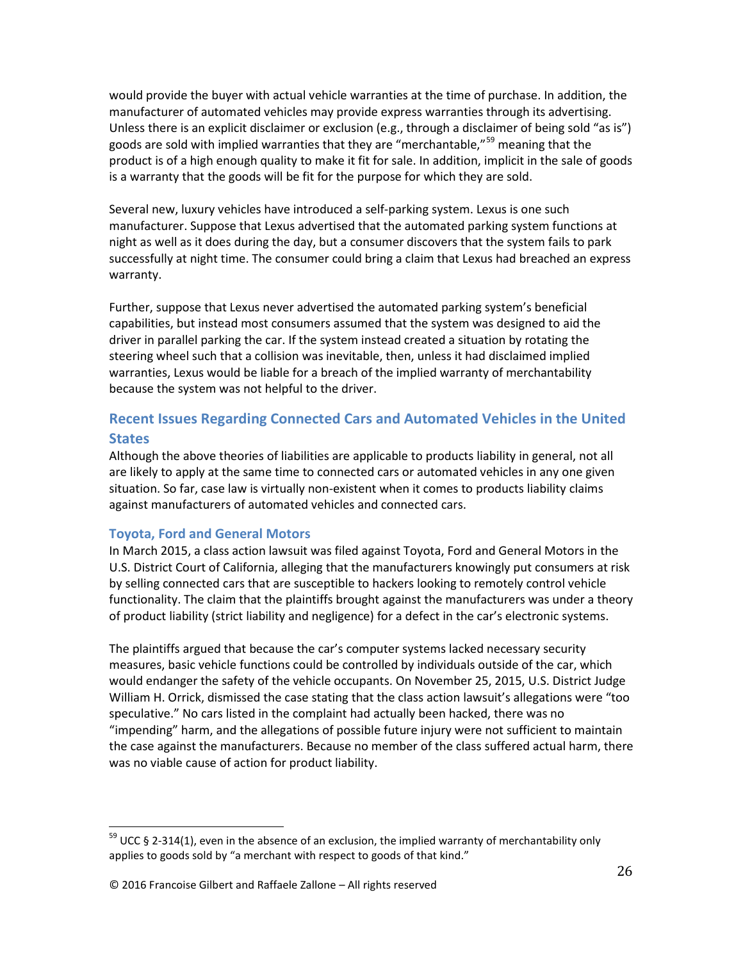would provide the buyer with actual vehicle warranties at the time of purchase. In addition, the manufacturer of automated vehicles may provide express warranties through its advertising. Unless there is an explicit disclaimer or exclusion (e.g., through a disclaimer of being sold "as is") goods are sold with implied warranties that they are "merchantable,"<sup>59</sup> meaning that the product is of a high enough quality to make it fit for sale. In addition, implicit in the sale of goods is a warranty that the goods will be fit for the purpose for which they are sold.

Several new, luxury vehicles have introduced a self-parking system. Lexus is one such manufacturer. Suppose that Lexus advertised that the automated parking system functions at night as well as it does during the day, but a consumer discovers that the system fails to park successfully at night time. The consumer could bring a claim that Lexus had breached an express warranty.

Further, suppose that Lexus never advertised the automated parking system's beneficial capabilities, but instead most consumers assumed that the system was designed to aid the driver in parallel parking the car. If the system instead created a situation by rotating the steering wheel such that a collision was inevitable, then, unless it had disclaimed implied warranties, Lexus would be liable for a breach of the implied warranty of merchantability because the system was not helpful to the driver.

# **Recent Issues Regarding Connected Cars and Automated Vehicles in the United States**

Although the above theories of liabilities are applicable to products liability in general, not all are likely to apply at the same time to connected cars or automated vehicles in any one given situation. So far, case law is virtually non-existent when it comes to products liability claims against manufacturers of automated vehicles and connected cars.

# **Toyota, Ford and General Motors**

In March 2015, a class action lawsuit was filed against Toyota, Ford and General Motors in the U.S. District Court of California, alleging that the manufacturers knowingly put consumers at risk by selling connected cars that are susceptible to hackers looking to remotely control vehicle functionality. The claim that the plaintiffs brought against the manufacturers was under a theory of product liability (strict liability and negligence) for a defect in the car's electronic systems.

The plaintiffs argued that because the car's computer systems lacked necessary security measures, basic vehicle functions could be controlled by individuals outside of the car, which would endanger the safety of the vehicle occupants. On November 25, 2015, U.S. District Judge William H. Orrick, dismissed the case stating that the class action lawsuit's allegations were "too speculative." No cars listed in the complaint had actually been hacked, there was no "impending" harm, and the allegations of possible future injury were not sufficient to maintain the case against the manufacturers. Because no member of the class suffered actual harm, there was no viable cause of action for product liability.

 $59$  UCC § 2-314(1), even in the absence of an exclusion, the implied warranty of merchantability only applies to goods sold by "a merchant with respect to goods of that kind."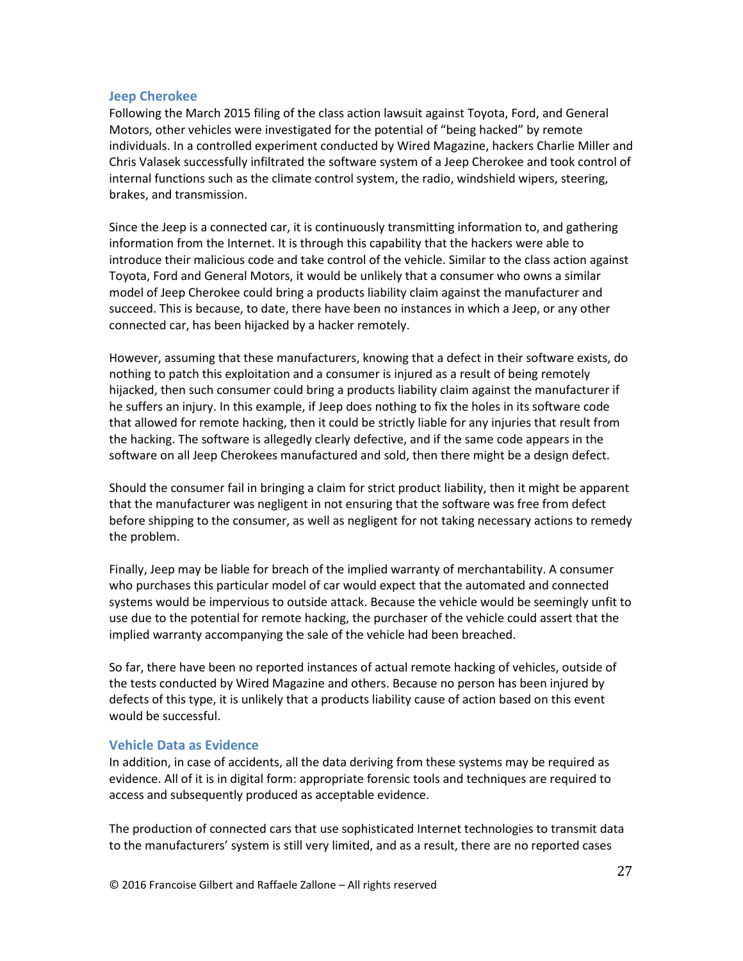### **Jeep Cherokee**

Following the March 2015 filing of the class action lawsuit against Toyota, Ford, and General Motors, other vehicles were investigated for the potential of "being hacked" by remote individuals. In a controlled experiment conducted by Wired Magazine, hackers Charlie Miller and Chris Valasek successfully infiltrated the software system of a Jeep Cherokee and took control of internal functions such as the climate control system, the radio, windshield wipers, steering, brakes, and transmission.

Since the Jeep is a connected car, it is continuously transmitting information to, and gathering information from the Internet. It is through this capability that the hackers were able to introduce their malicious code and take control of the vehicle. Similar to the class action against Toyota, Ford and General Motors, it would be unlikely that a consumer who owns a similar model of Jeep Cherokee could bring a products liability claim against the manufacturer and succeed. This is because, to date, there have been no instances in which a Jeep, or any other connected car, has been hijacked by a hacker remotely.

However, assuming that these manufacturers, knowing that a defect in their software exists, do nothing to patch this exploitation and a consumer is injured as a result of being remotely hijacked, then such consumer could bring a products liability claim against the manufacturer if he suffers an injury. In this example, if Jeep does nothing to fix the holes in its software code that allowed for remote hacking, then it could be strictly liable for any injuries that result from the hacking. The software is allegedly clearly defective, and if the same code appears in the software on all Jeep Cherokees manufactured and sold, then there might be a design defect.

Should the consumer fail in bringing a claim for strict product liability, then it might be apparent that the manufacturer was negligent in not ensuring that the software was free from defect before shipping to the consumer, as well as negligent for not taking necessary actions to remedy the problem.

Finally, Jeep may be liable for breach of the implied warranty of merchantability. A consumer who purchases this particular model of car would expect that the automated and connected systems would be impervious to outside attack. Because the vehicle would be seemingly unfit to use due to the potential for remote hacking, the purchaser of the vehicle could assert that the implied warranty accompanying the sale of the vehicle had been breached.

So far, there have been no reported instances of actual remote hacking of vehicles, outside of the tests conducted by Wired Magazine and others. Because no person has been injured by defects of this type, it is unlikely that a products liability cause of action based on this event would be successful.

### **Vehicle Data as Evidence**

In addition, in case of accidents, all the data deriving from these systems may be required as evidence. All of it is in digital form: appropriate forensic tools and techniques are required to access and subsequently produced as acceptable evidence.

The production of connected cars that use sophisticated Internet technologies to transmit data to the manufacturers' system is still very limited, and as a result, there are no reported cases